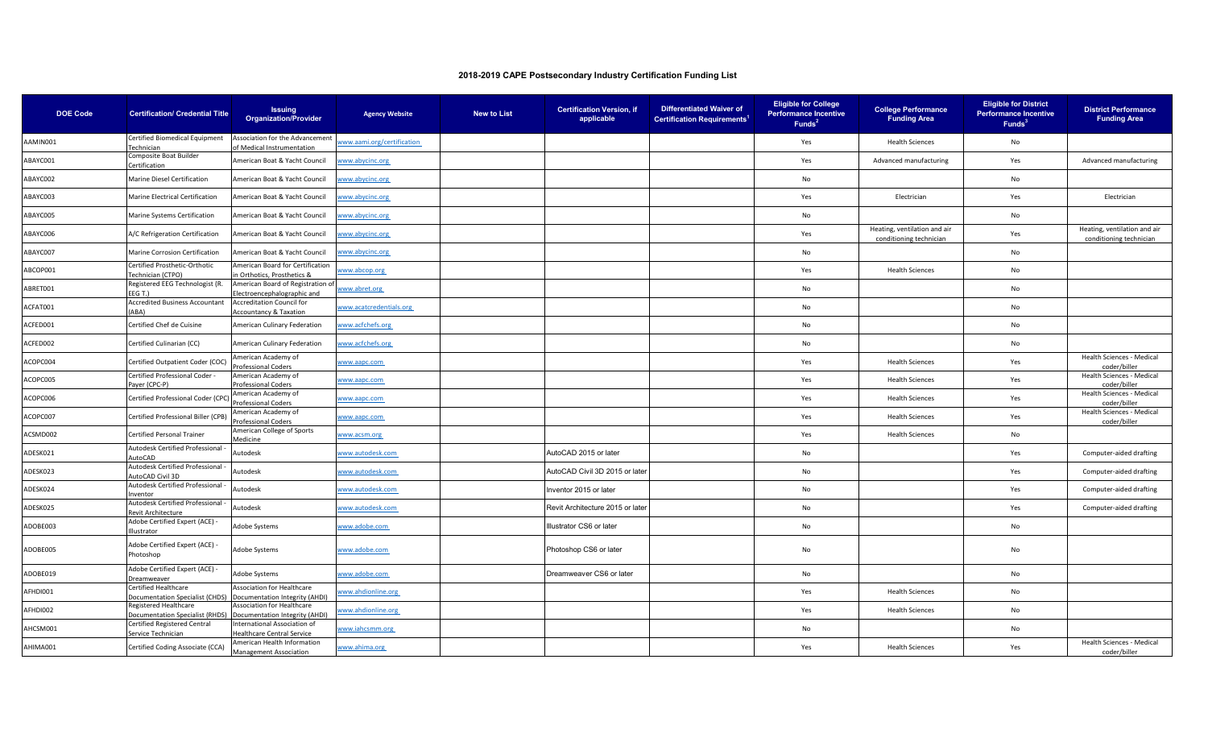| <b>DOE Code</b> | <b>Certification/ Credential Title</b>                                                 | <b>Issuing</b><br><b>Organization/Provider</b>                   | <b>Agency Website</b>     | <b>New to List</b> | <b>Certification Version, if</b><br>applicable | <b>Differentiated Waiver of</b><br><b>Certification Requirements<sup>1</sup></b> | <b>Eligible for College</b><br><b>Performance Incentive</b><br>Funds <sup>2</sup> | <b>College Performance</b><br><b>Funding Area</b>       | <b>Eligible for District</b><br><b>Performance Incentive</b><br>Funds <sup>3</sup> | <b>District Performance</b><br><b>Funding Area</b>      |
|-----------------|----------------------------------------------------------------------------------------|------------------------------------------------------------------|---------------------------|--------------------|------------------------------------------------|----------------------------------------------------------------------------------|-----------------------------------------------------------------------------------|---------------------------------------------------------|------------------------------------------------------------------------------------|---------------------------------------------------------|
| AAMIN001        | Certified Biomedical Equipment<br>Technician                                           | Association for the Advancement<br>of Medical Instrumentation    | ww.aami.org/certification |                    |                                                |                                                                                  | Yes                                                                               | <b>Health Sciences</b>                                  | No                                                                                 |                                                         |
| ABAYC001        | Composite Boat Builder<br>Certification                                                | American Boat & Yacht Council                                    | www.abycinc.org           |                    |                                                |                                                                                  | Yes                                                                               | Advanced manufacturing                                  | Yes                                                                                | Advanced manufacturing                                  |
| ABAYC002        | Marine Diesel Certification                                                            | American Boat & Yacht Council                                    | www.abycinc.org           |                    |                                                |                                                                                  | No                                                                                |                                                         | No                                                                                 |                                                         |
| ABAYC003        | Marine Electrical Certification                                                        | American Boat & Yacht Council                                    | www.abycinc.org           |                    |                                                |                                                                                  | Yes                                                                               | Electrician                                             | Yes                                                                                | Electrician                                             |
| ABAYC005        | Marine Systems Certification                                                           | American Boat & Yacht Council                                    | www.abycinc.org           |                    |                                                |                                                                                  | No                                                                                |                                                         | No                                                                                 |                                                         |
| ABAYC006        | A/C Refrigeration Certification                                                        | American Boat & Yacht Council                                    | ww.abycinc.org            |                    |                                                |                                                                                  | Yes                                                                               | Heating, ventilation and air<br>conditioning technician | Yes                                                                                | Heating, ventilation and air<br>conditioning technician |
| ABAYC007        | Marine Corrosion Certification                                                         | American Boat & Yacht Council                                    | www.abycinc.org           |                    |                                                |                                                                                  | No                                                                                |                                                         | No                                                                                 |                                                         |
| ABCOP001        | Certified Prosthetic-Orthotic<br>Technician (CTPO)                                     | American Board for Certification<br>n Orthotics. Prosthetics &   | www.abcop.org             |                    |                                                |                                                                                  | Yes                                                                               | <b>Health Sciences</b>                                  | No                                                                                 |                                                         |
| ABRET001        | Registered EEG Technologist (R.<br>EEGT.)                                              | American Board of Registration of<br>Electroencephalographic and | www.abret.org             |                    |                                                |                                                                                  | No                                                                                |                                                         | No                                                                                 |                                                         |
| ACFAT001        | Accredited Business Accountant<br>(ABA)                                                | <b>Accreditation Council for</b><br>Accountancy & Taxation       | www.acatcredentials.org   |                    |                                                |                                                                                  | No                                                                                |                                                         | No                                                                                 |                                                         |
| ACFED001        | Certified Chef de Cuisine                                                              | <b>American Culinary Federation</b>                              | www.acfchefs.org          |                    |                                                |                                                                                  | No                                                                                |                                                         | No                                                                                 |                                                         |
| ACFED002        | Certified Culinarian (CC)                                                              | American Culinary Federation                                     | www.acfchefs.org          |                    |                                                |                                                                                  | No                                                                                |                                                         | No                                                                                 |                                                         |
| ACOPC004        | Certified Outpatient Coder (COC)                                                       | American Academy of<br>Professional Coders                       | www.aapc.com              |                    |                                                |                                                                                  | Yes                                                                               | <b>Health Sciences</b>                                  | Yes                                                                                | Health Sciences - Medical<br>coder/biller               |
| ACOPC005        | Certified Professional Coder -<br>Payer (CPC-P)                                        | American Academy of<br>Professional Coders                       | www.aapc.com              |                    |                                                |                                                                                  | Yes                                                                               | <b>Health Sciences</b>                                  | Yes                                                                                | Health Sciences - Medical<br>coder/biller               |
| ACOPC006        | Certified Professional Coder (CPC)                                                     | American Academy of<br><b>Professional Coders</b>                | www.aapc.com              |                    |                                                |                                                                                  | Yes                                                                               | <b>Health Sciences</b>                                  | Yes                                                                                | Health Sciences - Medical<br>coder/biller               |
| ACOPC007        | Certified Professional Biller (CPB)                                                    | American Academy of<br>Professional Coders                       | www.aapc.com              |                    |                                                |                                                                                  | Yes                                                                               | <b>Health Sciences</b>                                  | Yes                                                                                | Health Sciences - Medical<br>coder/biller               |
| ACSMD002        | Certified Personal Trainer                                                             | American College of Sports<br>Medicine                           | www.acsm.org              |                    |                                                |                                                                                  | Yes                                                                               | <b>Health Sciences</b>                                  | No                                                                                 |                                                         |
| ADESK021        | Autodesk Certified Professional<br>AutoCAD                                             | Autodesk                                                         | www.autodesk.com          |                    | AutoCAD 2015 or later                          |                                                                                  | No                                                                                |                                                         | Yes                                                                                | Computer-aided drafting                                 |
| ADESK023        | Autodesk Certified Professional<br>AutoCAD Civil 3D                                    | Autodesk                                                         | www.autodesk.com          |                    | AutoCAD Civil 3D 2015 or later                 |                                                                                  | No                                                                                |                                                         | Yes                                                                                | Computer-aided drafting                                 |
| ADESK024        | Autodesk Certified Professional<br>nventor                                             | Autodesk                                                         | www.autodesk.com          |                    | Inventor 2015 or later                         |                                                                                  | No                                                                                |                                                         | Yes                                                                                | Computer-aided drafting                                 |
| ADESK025        | Autodesk Certified Professional<br>Revit Architecture                                  | Autodesk                                                         | www.autodesk.com          |                    | Revit Architecture 2015 or later               |                                                                                  | No                                                                                |                                                         | Yes                                                                                | Computer-aided drafting                                 |
| ADOBE003        | Adobe Certified Expert (ACE) -<br>Illustrator                                          | Adobe Systems                                                    | www.adobe.com             |                    | Illustrator CS6 or later                       |                                                                                  | No                                                                                |                                                         | No                                                                                 |                                                         |
| ADOBE005        | Adobe Certified Expert (ACE) -<br>Photoshop                                            | Adobe Systems                                                    | www.adobe.com             |                    | Photoshop CS6 or later                         |                                                                                  | No                                                                                |                                                         | No                                                                                 |                                                         |
| ADOBE019        | Adobe Certified Expert (ACE) -<br>Dreamweaver                                          | Adobe Systems                                                    | www.adobe.com             |                    | Dreamweaver CS6 or later                       |                                                                                  | No                                                                                |                                                         | No                                                                                 |                                                         |
| AFHDI001        | Certified Healthcare<br>Documentation Specialist (CHDS) Documentation Integrity (AHDI) | Association for Healthcare                                       | www.ahdionline.org        |                    |                                                |                                                                                  | Yes                                                                               | <b>Health Sciences</b>                                  | No                                                                                 |                                                         |
| AFHDI002        | Registered Healthcare<br>Documentation Specialist (RHDS)                               | Association for Healthcare<br>Documentation Integrity (AHDI)     | www.ahdionline.org        |                    |                                                |                                                                                  | Yes                                                                               | <b>Health Sciences</b>                                  | No                                                                                 |                                                         |
| AHCSM001        | Certified Registered Central<br>Service Technician                                     | International Association of<br>Healthcare Central Service       | www.iahcsmm.org           |                    |                                                |                                                                                  | No                                                                                |                                                         | No                                                                                 |                                                         |
| AHIMA001        | Certified Coding Associate (CCA)                                                       | American Health Information<br><b>Management Association</b>     | www.ahima.org             |                    |                                                |                                                                                  | Yes                                                                               | <b>Health Sciences</b>                                  | Yes                                                                                | Health Sciences - Medical<br>coder/biller               |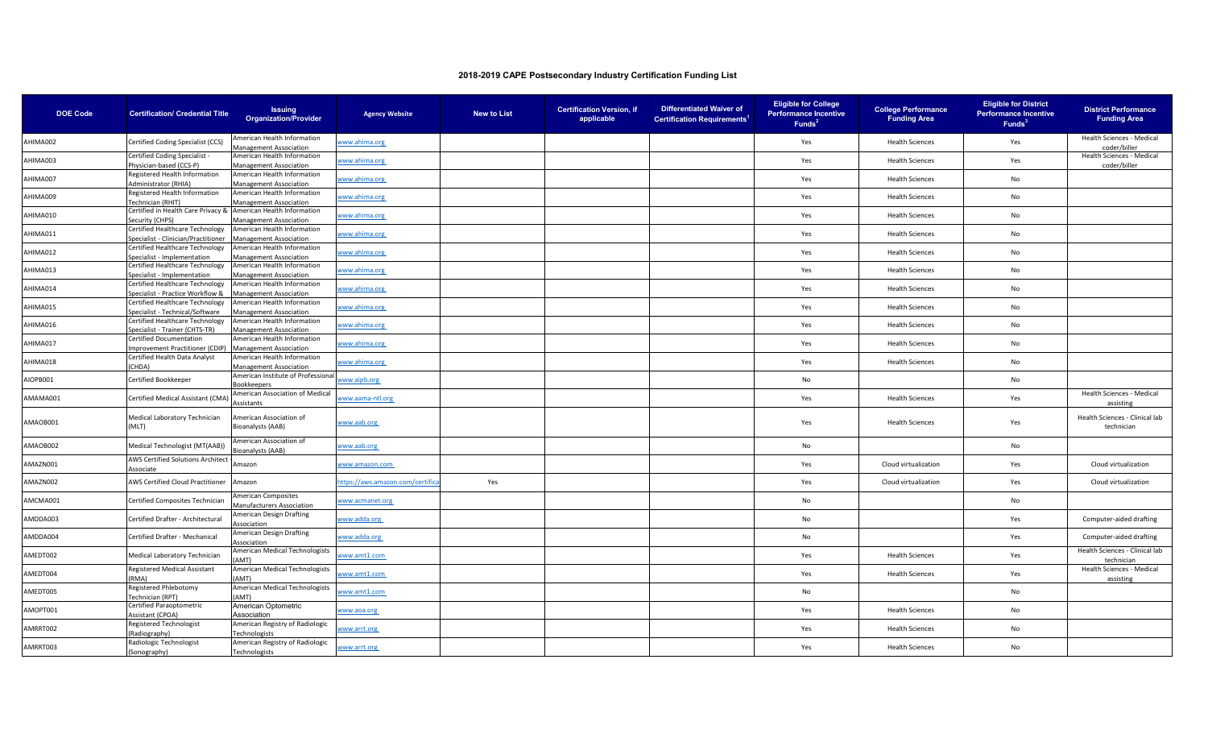| <b>DOE Code</b> | <b>Certification/ Credential Title</b>                                 | <b>Issuing</b><br><b>Organization/Provider</b>               | <b>Agency Website</b>          | <b>New to List</b> | <b>Certification Version, if</b><br>applicable | <b>Differentiated Waiver of</b><br><b>Certification Requirements<sup>1</sup></b> | <b>Eligible for College</b><br><b>Performance Incentive</b><br>Funds <sup>2</sup> | <b>College Performance</b><br><b>Funding Area</b> | <b>Eligible for District</b><br><b>Performance Incentive</b><br>Funds <sup>3</sup> | <b>District Performance</b><br><b>Funding Area</b> |
|-----------------|------------------------------------------------------------------------|--------------------------------------------------------------|--------------------------------|--------------------|------------------------------------------------|----------------------------------------------------------------------------------|-----------------------------------------------------------------------------------|---------------------------------------------------|------------------------------------------------------------------------------------|----------------------------------------------------|
| AHIMA002        | Certified Coding Specialist (CCS)                                      | American Health Information<br><b>Management Association</b> | www.ahima.org                  |                    |                                                |                                                                                  | Yes                                                                               | <b>Health Sciences</b>                            | Yes                                                                                | Health Sciences - Medical<br>coder/biller          |
| AHIMA003        | Certified Coding Specialist -<br>Physician-based (CCS-P)               | American Health Information<br>Management Association        | www.ahima.org                  |                    |                                                |                                                                                  | Yes                                                                               | <b>Health Sciences</b>                            | Yes                                                                                | Health Sciences - Medical<br>coder/biller          |
| AHIMA007        | Registered Health Information<br>Administrator (RHIA)                  | American Health Information<br><b>Management Association</b> | www.ahima.org                  |                    |                                                |                                                                                  | Yes                                                                               | <b>Health Sciences</b>                            | No                                                                                 |                                                    |
| AHIMA009        | Registered Health Information<br>Technician (RHIT)                     | American Health Information<br><b>Management Association</b> | www.ahima.org                  |                    |                                                |                                                                                  | Yes                                                                               | <b>Health Sciences</b>                            | No                                                                                 |                                                    |
| AHIMA010        | Certified in Health Care Privacy &<br>Security (CHPS)                  | American Health Information<br>Management Association        | www.ahima.org                  |                    |                                                |                                                                                  | Yes                                                                               | <b>Health Sciences</b>                            | No                                                                                 |                                                    |
| AHIMA011        | Certified Healthcare Technology<br>Specialist - Clinician/Practitioner | American Health Information<br>Management Association        | www.ahima.org                  |                    |                                                |                                                                                  | Yes                                                                               | <b>Health Sciences</b>                            | No                                                                                 |                                                    |
| AHIMA012        | Certified Healthcare Technology<br>Specialist - Implementation         | American Health Information<br>Management Association        | www.ahima.org                  |                    |                                                |                                                                                  | Yes                                                                               | <b>Health Sciences</b>                            | No                                                                                 |                                                    |
| AHIMA013        | Certified Healthcare Technology<br>Specialist - Implementation         | American Health Information<br><b>Management Association</b> | www.ahima.org                  |                    |                                                |                                                                                  | Yes                                                                               | <b>Health Sciences</b>                            | No                                                                                 |                                                    |
| AHIMA014        | Certified Healthcare Technology<br>Specialist - Practice Workflow &    | American Health Information<br><b>Management Association</b> | www.ahima.org                  |                    |                                                |                                                                                  | Yes                                                                               | <b>Health Sciences</b>                            | No                                                                                 |                                                    |
| AHIMA015        | Certified Healthcare Technology<br>Specialist - Technical/Software     | American Health Information<br><b>Management Association</b> | www.ahima.org                  |                    |                                                |                                                                                  | Yes                                                                               | <b>Health Sciences</b>                            | No                                                                                 |                                                    |
| AHIMA016        | Certified Healthcare Technology<br>Specialist - Trainer (CHTS-TR)      | American Health Information<br><b>Management Association</b> | www.ahima.org                  |                    |                                                |                                                                                  | Yes                                                                               | <b>Health Sciences</b>                            | No                                                                                 |                                                    |
| AHIMA017        | <b>Certified Documentation</b><br>Improvement Practitioner (CDIP)      | American Health Information<br><b>Management Association</b> | www.ahima.org                  |                    |                                                |                                                                                  | Yes                                                                               | <b>Health Sciences</b>                            | No                                                                                 |                                                    |
| AHIMA018        | Certified Health Data Analyst<br>CHDA)                                 | American Health Information<br>Management Association        | www.ahima.org                  |                    |                                                |                                                                                  | Yes                                                                               | <b>Health Sciences</b>                            | No                                                                                 |                                                    |
| AIOPB001        | Certified Bookkeeper                                                   | American Institute of Professional<br>ookkeepers             | www.aipb.org                   |                    |                                                |                                                                                  | No                                                                                |                                                   | No                                                                                 |                                                    |
| AMAMA001        | Certified Medical Assistant (CMA                                       | American Association of Medical<br>Assistants                | www.aama-ntl.org               |                    |                                                |                                                                                  | Yes                                                                               | <b>Health Sciences</b>                            | Yes                                                                                | Health Sciences - Medical<br>assisting             |
| AMAOB001        | Medical Laboratory Technician<br>(MLT)                                 | American Association of<br><b>Bioanalysts (AAB)</b>          | www.aab.org                    |                    |                                                |                                                                                  | Yes                                                                               | <b>Health Sciences</b>                            | Yes                                                                                | Health Sciences - Clinical lab<br>technician       |
| AMAOB002        | Medical Technologist (MT(AAB))                                         | American Association of<br>Bioanalysts (AAB)                 | www.aab.org                    |                    |                                                |                                                                                  | No                                                                                |                                                   | No                                                                                 |                                                    |
| AMAZN001        | AWS Certified Solutions Architect<br>Associate                         | Amazon                                                       | www.amazon.com                 |                    |                                                |                                                                                  | Yes                                                                               | Cloud virtualization                              | Yes                                                                                | Cloud virtualization                               |
| AMAZN002        | AWS Certified Cloud Practitioner                                       | Amazon                                                       | nttps://aws.amazon.com/certifi | Yes                |                                                |                                                                                  | Yes                                                                               | Cloud virtualization                              | Yes                                                                                | Cloud virtualization                               |
| AMCMA001        | Certified Composites Technician                                        | American Composites<br>Manufacturers Association             | www.acmanet.org                |                    |                                                |                                                                                  | No                                                                                |                                                   | No                                                                                 |                                                    |
| AMDDA003        | Certified Drafter - Architectural                                      | American Design Drafting<br>Association                      | www.adda.org                   |                    |                                                |                                                                                  | No                                                                                |                                                   | Yes                                                                                | Computer-aided drafting                            |
| AMDDA004        | Certified Drafter - Mechanical                                         | American Design Drafting<br>Association                      | www.adda.org                   |                    |                                                |                                                                                  | No                                                                                |                                                   | Yes                                                                                | Computer-aided drafting                            |
| AMEDT002        | Medical Laboratory Technician                                          | American Medical Technologists<br>AMT)                       | www.amt1.com                   |                    |                                                |                                                                                  | Yes                                                                               | <b>Health Sciences</b>                            | Yes                                                                                | Health Sciences - Clinical lab<br>technician       |
| AMEDT004        | <b>Registered Medical Assistant</b><br>(RMA)                           | American Medical Technologists<br>AMT)                       | www.amt1.com                   |                    |                                                |                                                                                  | Yes                                                                               | <b>Health Sciences</b>                            | Yes                                                                                | Health Sciences - Medical<br>assisting             |
| AMEDT005        | Registered Phlebotomy<br>Technician (RPT)                              | American Medical Technologists<br>AMT)                       | www.amt1.com                   |                    |                                                |                                                                                  | No                                                                                |                                                   | No                                                                                 |                                                    |
| AMOPT001        | Certified Paraoptometric<br>Assistant (CPOA)                           | American Optometric<br>Association                           | www.aoa.org                    |                    |                                                |                                                                                  | Yes                                                                               | <b>Health Sciences</b>                            | No                                                                                 |                                                    |
| AMRRT002        | Registered Technologist<br>Radiography)                                | American Registry of Radiologic<br><b>Fechnologists</b>      | www.arrt.org                   |                    |                                                |                                                                                  | Yes                                                                               | <b>Health Sciences</b>                            | No                                                                                 |                                                    |
| AMRRT003        | Radiologic Technologist<br>(Sonography)                                | American Registry of Radiologic<br>Technologists             | www.arrt.org                   |                    |                                                |                                                                                  | Yes                                                                               | <b>Health Sciences</b>                            | No                                                                                 |                                                    |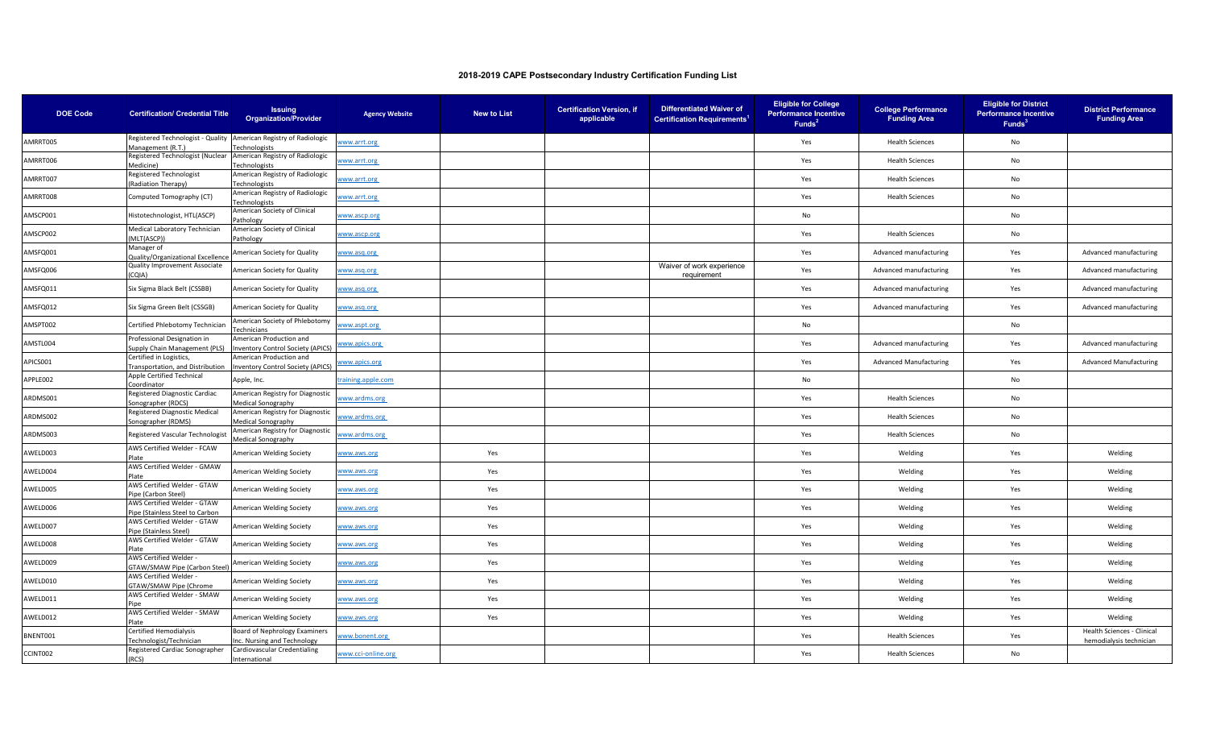| <b>DOE Code</b> | <b>Certification/ Credential Title</b>                                                | <b>Issuing</b><br><b>Organization/Provider</b>                                                  | <b>Agency Website</b> | <b>New to List</b> | <b>Certification Version, if</b><br>applicable | <b>Differentiated Waiver of</b><br><b>Certification Requirements<sup>1</sup></b> | <b>Eligible for College</b><br><b>Performance Incentive</b><br>Funds <sup>2</sup> | <b>College Performance</b><br><b>Funding Area</b> | <b>Eligible for District</b><br><b>Performance Incentive</b><br>Funds <sup>3</sup> | <b>District Performance</b><br><b>Funding Area</b>    |
|-----------------|---------------------------------------------------------------------------------------|-------------------------------------------------------------------------------------------------|-----------------------|--------------------|------------------------------------------------|----------------------------------------------------------------------------------|-----------------------------------------------------------------------------------|---------------------------------------------------|------------------------------------------------------------------------------------|-------------------------------------------------------|
| AMRRT005        | Registered Technologist - Quality American Registry of Radiologic                     |                                                                                                 | www.arrt.org          |                    |                                                |                                                                                  | Yes                                                                               | <b>Health Sciences</b>                            | No                                                                                 |                                                       |
| AMRRT006        | Management (R.T.)<br>Registered Technologist (Nuclear American Registry of Radiologic | Technologists                                                                                   | www.arrt.org          |                    |                                                |                                                                                  | Yes                                                                               | <b>Health Sciences</b>                            | No                                                                                 |                                                       |
|                 | Medicine)<br>Registered Technologist                                                  | Technologists<br>American Registry of Radiologic                                                |                       |                    |                                                |                                                                                  |                                                                                   |                                                   |                                                                                    |                                                       |
| AMRRT007        | (Radiation Therapy)                                                                   | Technologists                                                                                   | www.arrt.org          |                    |                                                |                                                                                  | Yes                                                                               | <b>Health Sciences</b>                            | No                                                                                 |                                                       |
| AMRRT008        | Computed Tomography (CT)                                                              | American Registry of Radiologic<br>Technologists                                                | www.arrt.org          |                    |                                                |                                                                                  | Yes                                                                               | <b>Health Sciences</b>                            | No                                                                                 |                                                       |
| AMSCP001        | Histotechnologist, HTL(ASCP)                                                          | American Society of Clinical<br>Pathology                                                       | vww.ascp.org          |                    |                                                |                                                                                  | No                                                                                |                                                   | No                                                                                 |                                                       |
| AMSCP002        | Medical Laboratory Technician<br>(MLT(ASCP))                                          | American Society of Clinical<br>Pathology                                                       | www.ascp.org          |                    |                                                |                                                                                  | Yes                                                                               | <b>Health Sciences</b>                            | No                                                                                 |                                                       |
| AMSFQ001        | Manager of<br>Quality/Organizational Excellence                                       | American Society for Quality                                                                    | www.asq.org           |                    |                                                |                                                                                  | Yes                                                                               | Advanced manufacturing                            | Yes                                                                                | Advanced manufacturing                                |
| AMSFQ006        | Quality Improvement Associate<br>(AIO.                                                | American Society for Quality                                                                    | vww.asq.org           |                    |                                                | Waiver of work experience<br>requirement                                         | Yes                                                                               | Advanced manufacturing                            | Yes                                                                                | Advanced manufacturing                                |
| AMSFQ011        | Six Sigma Black Belt (CSSBB)                                                          | American Society for Quality                                                                    | www.asq.org           |                    |                                                |                                                                                  | Yes                                                                               | Advanced manufacturing                            | Yes                                                                                | Advanced manufacturing                                |
| AMSFQ012        | Six Sigma Green Belt (CSSGB)                                                          | American Society for Quality                                                                    | www.asq.org           |                    |                                                |                                                                                  | Yes                                                                               | Advanced manufacturing                            | Yes                                                                                | Advanced manufacturing                                |
| AMSPT002        | Certified Phlebotomy Technician                                                       | American Society of Phlebotomy<br>Technicians                                                   | www.aspt.org          |                    |                                                |                                                                                  | No                                                                                |                                                   | No                                                                                 |                                                       |
| AMSTL004        | Professional Designation in                                                           | American Production and<br>Supply Chain Management (PLS) Inventory Control Society (APICS)      | vww.apics.org         |                    |                                                |                                                                                  | Yes                                                                               | Advanced manufacturing                            | Yes                                                                                | Advanced manufacturing                                |
| APICS001        | Certified in Logistics,                                                               | American Production and<br>Fransportation, and Distribution   Inventory Control Society (APICS) | www.apics.org         |                    |                                                |                                                                                  | Yes                                                                               | <b>Advanced Manufacturing</b>                     | Yes                                                                                | <b>Advanced Manufacturing</b>                         |
| APPLE002        | Apple Certified Technical<br>Coordinator                                              | Apple, Inc.                                                                                     | raining.apple.com     |                    |                                                |                                                                                  | No                                                                                |                                                   | No                                                                                 |                                                       |
| ARDMS001        | Registered Diagnostic Cardiac<br>Sonographer (RDCS)                                   | American Registry for Diagnostic<br><b>Medical Sonography</b>                                   | www.ardms.org         |                    |                                                |                                                                                  | Yes                                                                               | <b>Health Sciences</b>                            | No                                                                                 |                                                       |
| ARDMS002        | Registered Diagnostic Medical<br>Sonographer (RDMS)                                   | American Registry for Diagnostic<br>Medical Sonography                                          | www.ardms.org         |                    |                                                |                                                                                  | Yes                                                                               | <b>Health Sciences</b>                            | No                                                                                 |                                                       |
| ARDMS003        | Registered Vascular Technologist                                                      | American Registry for Diagnostic<br>Medical Sonography                                          | www.ardms.org         |                    |                                                |                                                                                  | Yes                                                                               | <b>Health Sciences</b>                            | No                                                                                 |                                                       |
| AWELD003        | AWS Certified Welder - FCAW<br><b>Plate</b>                                           | American Welding Society                                                                        | vww.aws.org           | Yes                |                                                |                                                                                  | Yes                                                                               | Welding                                           | Yes                                                                                | Welding                                               |
| AWELD004        | AWS Certified Welder - GMAW<br>Plate                                                  | American Welding Society                                                                        | www.aws.org           | Yes                |                                                |                                                                                  | Yes                                                                               | Welding                                           | Yes                                                                                | Welding                                               |
| AWELD005        | AWS Certified Welder - GTAW<br>Pipe (Carbon Steel)                                    | American Welding Society                                                                        | www.aws.org           | Yes                |                                                |                                                                                  | Yes                                                                               | Welding                                           | Yes                                                                                | Welding                                               |
| AWELD006        | AWS Certified Welder - GTAW<br>Pipe (Stainless Steel to Carbon                        | American Welding Society                                                                        | www.aws.org           | Yes                |                                                |                                                                                  | Yes                                                                               | Welding                                           | Yes                                                                                | Welding                                               |
| AWELD007        | AWS Certified Welder - GTAW<br>lipe (Stainless Steel)                                 | American Welding Society                                                                        | vww.aws.org           | Yes                |                                                |                                                                                  | Yes                                                                               | Welding                                           | Yes                                                                                | Welding                                               |
| AWELD008        | AWS Certified Welder - GTAW<br>Plate                                                  | American Welding Society                                                                        | vww.aws.org           | Yes                |                                                |                                                                                  | Yes                                                                               | Welding                                           | Yes                                                                                | Welding                                               |
| AWELD009        | AWS Certified Welder -<br>GTAW/SMAW Pipe (Carbon Steel)                               | American Welding Society                                                                        | www.aws.org           | Yes                |                                                |                                                                                  | Yes                                                                               | Welding                                           | Yes                                                                                | Welding                                               |
| AWELD010        | AWS Certified Welder -<br>GTAW/SMAW Pipe (Chrome                                      | American Welding Society                                                                        | vww.aws.org           | Yes                |                                                |                                                                                  | Yes                                                                               | Welding                                           | Yes                                                                                | Welding                                               |
| AWELD011        | AWS Certified Welder - SMAW<br><sup>2</sup> ine                                       | American Welding Society                                                                        | www.aws.org           | Yes                |                                                |                                                                                  | Yes                                                                               | Welding                                           | Yes                                                                                | Welding                                               |
| AWELD012        | AWS Certified Welder - SMAW<br><b>Plate</b>                                           | American Welding Society                                                                        | vww.aws.org           | Yes                |                                                |                                                                                  | Yes                                                                               | Welding                                           | Yes                                                                                | Welding                                               |
| BNENT001        | Certified Hemodialysis<br>echnologist/Technician                                      | Board of Nephrology Examiners<br>nc. Nursing and Technology                                     | www.bonent.org        |                    |                                                |                                                                                  | Yes                                                                               | <b>Health Sciences</b>                            | Yes                                                                                | Health Sciences - Clinical<br>hemodialysis technician |
| CCINT002        | Registered Cardiac Sonographer<br>(RCS)                                               | Cardiovascular Credentialing<br>International                                                   | www.cci-online.org    |                    |                                                |                                                                                  | Yes                                                                               | <b>Health Sciences</b>                            | No                                                                                 |                                                       |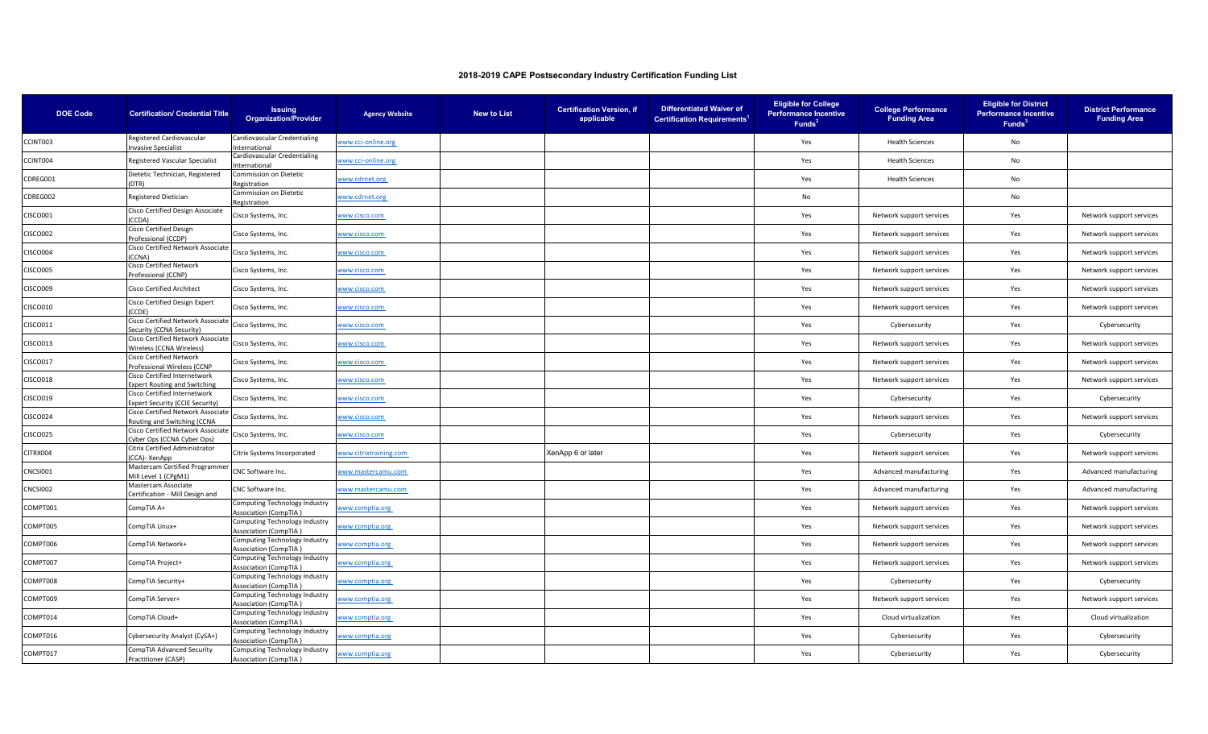| <b>DOE Code</b> | <b>Certification/ Credential Title</b>                               | <b>Issuing</b><br><b>Organization/Provider</b>                | <b>Agency Website</b>  | <b>New to List</b> | <b>Certification Version, if</b><br>applicable | <b>Differentiated Waiver of</b><br><b>Certification Requirements<sup>1</sup></b> | <b>Eligible for College</b><br><b>Performance Incentive</b><br>Funds <sup>2</sup> | <b>College Performance</b><br><b>Funding Area</b> | <b>Eligible for District</b><br><b>Performance Incentive</b><br>Funds <sup>3</sup> | <b>District Performance</b><br><b>Funding Area</b> |
|-----------------|----------------------------------------------------------------------|---------------------------------------------------------------|------------------------|--------------------|------------------------------------------------|----------------------------------------------------------------------------------|-----------------------------------------------------------------------------------|---------------------------------------------------|------------------------------------------------------------------------------------|----------------------------------------------------|
| CCINT003        | Registered Cardiovascular<br><b>Invasive Specialist</b>              | Cardiovascular Credentialing<br>International                 | www.cci-online.org     |                    |                                                |                                                                                  | Yes                                                                               | <b>Health Sciences</b>                            | No                                                                                 |                                                    |
| CCINT004        | Registered Vascular Specialist                                       | Cardiovascular Credentialing<br>International                 | www.cci-online.org     |                    |                                                |                                                                                  | Yes                                                                               | <b>Health Sciences</b>                            | No                                                                                 |                                                    |
| CDREG001        | Dietetic Technician, Registered                                      | Commission on Dietetic                                        | www.cdrnet.org         |                    |                                                |                                                                                  | Yes                                                                               | <b>Health Sciences</b>                            | No                                                                                 |                                                    |
| CDREG002        | (DTR)<br>Registered Dietician                                        | Registration<br>Commission on Dietetic                        | www.cdrnet.org         |                    |                                                |                                                                                  | No                                                                                |                                                   | No                                                                                 |                                                    |
| CISCO001        | Cisco Certified Design Associate                                     | Registration<br>Cisco Systems, Inc.                           | vww.cisco.com          |                    |                                                |                                                                                  | Yes                                                                               | Network support services                          | Yes                                                                                | Network support services                           |
| CISCO002        | CCDA)<br>Cisco Certified Design                                      | Cisco Systems, Inc.                                           | www.cisco.com          |                    |                                                |                                                                                  | Yes                                                                               | Network support services                          | Yes                                                                                | Network support services                           |
| CISCO004        | Professional (CCDP)<br>Cisco Certified Network Associate             | Cisco Systems, Inc.                                           | <u>vww.cisco.com</u>   |                    |                                                |                                                                                  | Yes                                                                               | Network support services                          | Yes                                                                                | Network support services                           |
| <b>CISCO005</b> | (CCNA)<br>Cisco Certified Network                                    | Cisco Systems, Inc.                                           | www.cisco.com          |                    |                                                |                                                                                  | Yes                                                                               | Network support services                          | Yes                                                                                | Network support services                           |
| CISCO009        | Professional (CCNP)<br>Cisco Certified Architect                     | Cisco Systems, Inc.                                           | www.cisco.com          |                    |                                                |                                                                                  | Yes                                                                               | Network support services                          | Yes                                                                                | Network support services                           |
| CISCO010        | Cisco Certified Design Expert                                        | Cisco Systems, Inc.                                           | www.cisco.com          |                    |                                                |                                                                                  | Yes                                                                               | Network support services                          | Yes                                                                                | Network support services                           |
| CISCO011        | CCDF)<br>Cisco Certified Network Associate                           | Cisco Systems, Inc.                                           | www.cisco.com          |                    |                                                |                                                                                  | Yes                                                                               | Cybersecurity                                     | Yes                                                                                | Cybersecurity                                      |
| CISCO013        | Security (CCNA Security)<br>Cisco Certified Network Associate        | Cisco Systems, Inc.                                           | www.cisco.com          |                    |                                                |                                                                                  | Yes                                                                               | Network support services                          | Yes                                                                                | Network support services                           |
| CISCO017        | Wireless (CCNA Wireless)<br>Cisco Certified Network                  | Cisco Systems, Inc.                                           | vww.cisco.com          |                    |                                                |                                                                                  | Yes                                                                               | Network support services                          | Yes                                                                                | Network support services                           |
| <b>CISCO018</b> | Professional Wireless (CCNP<br>Cisco Certified Internetwork          | Cisco Systems, Inc.                                           | vww.cisco.com          |                    |                                                |                                                                                  | Yes                                                                               | Network support services                          | Yes                                                                                | Network support services                           |
| CISCO019        | xpert Routing and Switching<br>Cisco Certified Internetwork          |                                                               |                        |                    |                                                |                                                                                  | Yes                                                                               | Cybersecurity                                     | Yes                                                                                | Cybersecurity                                      |
|                 | Expert Security (CCIE Security)<br>Cisco Certified Network Associate | Cisco Systems, Inc.                                           | www.cisco.com          |                    |                                                |                                                                                  |                                                                                   |                                                   |                                                                                    |                                                    |
| CISCO024        | Routing and Switching (CCNA<br>Cisco Certified Network Associate     | Cisco Systems, Inc.                                           | www.cisco.com          |                    |                                                |                                                                                  | Yes                                                                               | Network support services                          | Yes                                                                                | Network support services                           |
| <b>CISCO025</b> | Cyber Ops (CCNA Cyber Ops)<br>Citrix Certified Administrator         | Cisco Systems, Inc.                                           | vww.cisco.com          |                    |                                                |                                                                                  | Yes                                                                               | Cybersecurity                                     | Yes                                                                                | Cybersecurity                                      |
| CITRX004        | CCA)- XenApp<br>Mastercam Certified Programmer                       | Citrix Systems Incorporated                                   | vww.citrixtraining.com |                    | XenApp 6 or later                              |                                                                                  | Yes                                                                               | Network support services                          | Yes                                                                                | Network support services                           |
| CNCSI001        | Mill Level 1 (CPgM1)<br>Mastercam Associate                          | CNC Software Inc.                                             | vww.mastercamu.com     |                    |                                                |                                                                                  | Yes                                                                               | Advanced manufacturing                            | Yes                                                                                | Advanced manufacturing                             |
| CNCSI002        | Certification - Mill Design and                                      | CNC Software Inc.                                             | vww.mastercamu.com     |                    |                                                |                                                                                  | Yes                                                                               | Advanced manufacturing                            | Yes                                                                                | Advanced manufacturing                             |
| COMPT001        | CompTIA A+                                                           | Computing Technology Industry<br><b>Association (CompTIA</b>  | vww.comptia.org        |                    |                                                |                                                                                  | Yes                                                                               | Network support services                          | Yes                                                                                | Network support services                           |
| COMPT005        | CompTIA Linux+                                                       | Computing Technology Industry<br><b>Association (CompTIA)</b> | vww.comptia.org        |                    |                                                |                                                                                  | Yes                                                                               | Network support services                          | Yes                                                                                | Network support services                           |
| COMPT006        | CompTIA Network+                                                     | Computing Technology Industry<br><b>Association (CompTIA)</b> | vww.comptia.org        |                    |                                                |                                                                                  | Yes                                                                               | Network support services                          | Yes                                                                                | Network support services                           |
| COMPT007        | CompTIA Project+                                                     | Computing Technology Industry<br><b>Association (CompTIA)</b> | vww.comptia.org        |                    |                                                |                                                                                  | Yes                                                                               | Network support services                          | Yes                                                                                | Network support services                           |
| COMPT008        | CompTIA Security+                                                    | Computing Technology Industry<br>Association (CompTIA)        | vww.comptia.org        |                    |                                                |                                                                                  | Yes                                                                               | Cybersecurity                                     | Yes                                                                                | Cybersecurity                                      |
| COMPT009        | CompTIA Server+                                                      | Computing Technology Industry<br><b>Association (CompTIA)</b> | vww.comptia.org        |                    |                                                |                                                                                  | Yes                                                                               | Network support services                          | Yes                                                                                | Network support services                           |
| COMPT014        | CompTIA Cloud+                                                       | Computing Technology Industry<br><b>Association (CompTIA)</b> | www.comptia.org        |                    |                                                |                                                                                  | Yes                                                                               | Cloud virtualization                              | Yes                                                                                | Cloud virtualization                               |
| COMPT016        | Cybersecurity Analyst (CySA+)                                        | Computing Technology Industry<br><b>Association (CompTIA)</b> | vww.comptia.org        |                    |                                                |                                                                                  | Yes                                                                               | Cybersecurity                                     | Yes                                                                                | Cybersecurity                                      |
| COMPT017        | CompTIA Advanced Security<br>Practitioner (CASP)                     | Computing Technology Industry<br>Association (CompTIA)        | www.comptia.org        |                    |                                                |                                                                                  | Yes                                                                               | Cybersecurity                                     | Yes                                                                                | Cybersecurity                                      |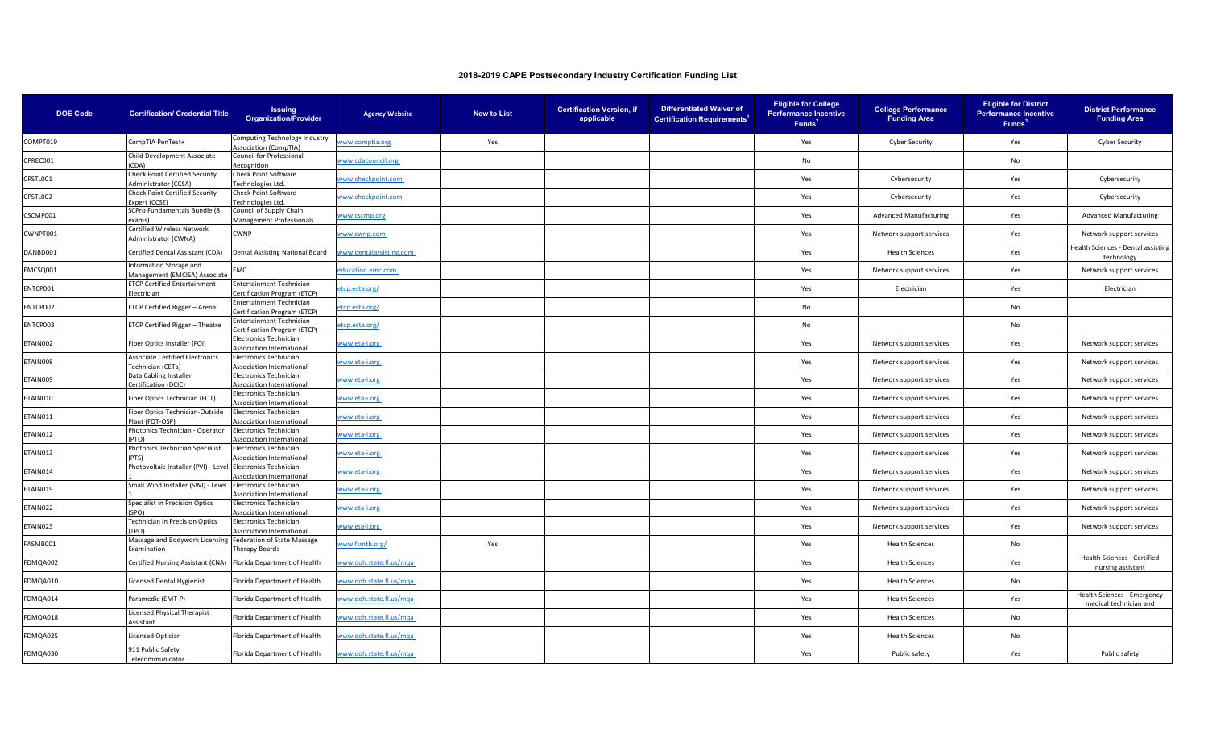| <b>DOE Code</b> | <b>Certification/ Credential Title</b>                             | <b>Issuing</b><br><b>Organization/Provider</b>                    | <b>Agency Website</b>   | <b>New to List</b> | <b>Certification Version, if</b><br>applicable | <b>Differentiated Waiver of</b><br><b>Certification Requirements</b> | <b>Eligible for College</b><br><b>Performance Incentive</b><br>Funds <sup>2</sup> | <b>College Performance</b><br><b>Funding Area</b> | <b>Eligible for District</b><br><b>Performance Incentive</b><br>Funds <sup>3</sup> | <b>District Performance</b><br><b>Funding Area</b>    |
|-----------------|--------------------------------------------------------------------|-------------------------------------------------------------------|-------------------------|--------------------|------------------------------------------------|----------------------------------------------------------------------|-----------------------------------------------------------------------------------|---------------------------------------------------|------------------------------------------------------------------------------------|-------------------------------------------------------|
| COMPT019        | CompTIA PenTest+                                                   | Computing Technology Industry<br><b>Association (CompTIA)</b>     | www.comptia.org         | Yes                |                                                |                                                                      | Yes                                                                               | <b>Cyber Security</b>                             | Yes                                                                                | <b>Cyber Security</b>                                 |
| CPREC001        | Child Development Associate<br>(CDA)                               | Council for Professional<br>Recognition                           | www.cdacouncil.org      |                    |                                                |                                                                      | <b>No</b>                                                                         |                                                   | No                                                                                 |                                                       |
| CPSTL001        | <b>Check Point Certified Security</b><br>Administrator (CCSA)      | Check Point Software<br>echnologies Ltd.                          | www.checkpoint.com      |                    |                                                |                                                                      | Yes                                                                               | Cybersecurity                                     | Yes                                                                                | Cybersecurity                                         |
| CPSTL002        | Check Point Certified Security<br>Expert (CCSE)                    | <b>Check Point Software</b><br>Technologies Ltd.                  | www.checkpoint.com      |                    |                                                |                                                                      | Yes                                                                               | Cybersecurity                                     | Yes                                                                                | Cybersecurity                                         |
| CSCMP001        | SCPro Fundamentals Bundle (8<br>exams                              | Council of Supply Chain<br>Management Professionals               | www.cscmp.org           |                    |                                                |                                                                      | Yes                                                                               | <b>Advanced Manufacturing</b>                     | Yes                                                                                | <b>Advanced Manufacturing</b>                         |
| CWNPT001        | Certified Wireless Network<br>Administrator (CWNA)                 | WNP                                                               | www.cwnp.com            |                    |                                                |                                                                      | Yes                                                                               | Network support services                          | Yes                                                                                | Network support services                              |
| DANBD001        | Certified Dental Assistant (CDA)                                   | Dental Assisting National Board                                   | www.dentalassisting.com |                    |                                                |                                                                      | Yes                                                                               | <b>Health Sciences</b>                            | Yes                                                                                | Health Sciences - Dental assisting<br>technology      |
| EMCSQ001        | Information Storage and<br>Management (EMCISA) Associate           | MC                                                                | education.emc.com       |                    |                                                |                                                                      | Yes                                                                               | Network support services                          | Yes                                                                                | Network support services                              |
| ENTCP001        | <b>ETCP Certified Entertainment</b><br>Electrician                 | Entertainment Technician<br>Certification Program (ETCP)          | etcp.esta.org/          |                    |                                                |                                                                      | Yes                                                                               | Electrician                                       | Yes                                                                                | Electrician                                           |
| NTCP002         | ETCP Certified Rigger - Arena                                      | intertainment Technician<br>ertification Program (ETCP)           | etcp.esta.org/          |                    |                                                |                                                                      | No                                                                                |                                                   | No                                                                                 |                                                       |
| ENTCP003        | ETCP Certified Rigger - Theatre                                    | intertainment Technician<br>Certification Program (ETCP)          | etcp.esta.org/          |                    |                                                |                                                                      | No                                                                                |                                                   | No                                                                                 |                                                       |
| ETAIN002        | Fiber Optics Installer (FOI)                                       | lectronics Technician<br><b>Association International</b>         | www.eta-i.org           |                    |                                                |                                                                      | Yes                                                                               | Network support services                          | Yes                                                                                | Network support services                              |
| ETAIN008        | <b>Associate Certified Electronics</b><br><b>Technician (CETa)</b> | <b>Electronics Technician</b><br>Association International        | www.eta-i.org           |                    |                                                |                                                                      | Yes                                                                               | Network support services                          | Yes                                                                                | Network support services                              |
| TAIN009         | Data Cabling Installer<br>Certification (DCIC)                     | <b>Electronics Technician</b><br>Association International        | www.eta-i.org           |                    |                                                |                                                                      | Yes                                                                               | Network support services                          | Yes                                                                                | Network support services                              |
| TAIN010         | Fiber Optics Technician (FOT)                                      | <b>Electronics Technician</b><br><b>Association International</b> | www.eta-i.org           |                    |                                                |                                                                      | Yes                                                                               | Network support services                          | Yes                                                                                | Network support services                              |
| ETAIN011        | Fiber Optics Technician-Outside<br>Plant (FOT-OSP)                 | lectronics Technician<br>ssociation International                 | www.eta-i.org           |                    |                                                |                                                                      | Yes                                                                               | Network support services                          | Yes                                                                                | Network support services                              |
| ETAIN012        | Photonics Technician - Operator<br>(PTO)                           | <b>Electronics Technician</b><br><b>Association International</b> | www.eta-i.org           |                    |                                                |                                                                      | Yes                                                                               | Network support services                          | Yes                                                                                | Network support services                              |
| ETAIN013        | Photonics Technician Specialist<br>(PTS)                           | <b>Iectronics Technician</b><br>ssociation International          | www.eta-i.org           |                    |                                                |                                                                      | Yes                                                                               | Network support services                          | Yes                                                                                | Network support services                              |
| ETAIN014        | Photovoltaic Installer (PVI) - Level                               | Electronics Technician<br>ssociation International                | www.eta-i.org           |                    |                                                |                                                                      | Yes                                                                               | Network support services                          | Yes                                                                                | Network support services                              |
| ETAIN019        | Small Wind Installer (SWI) - Level                                 | Electronics Technician<br>Association International               | www.eta-i.org           |                    |                                                |                                                                      | Yes                                                                               | Network support services                          | Yes                                                                                | Network support services                              |
| ETAIN022        | Specialist in Precision Optics<br>(SPO)                            | <b>Electronics Technician</b><br><b>Association International</b> | www.eta-i.org           |                    |                                                |                                                                      | Yes                                                                               | Network support services                          | Yes                                                                                | Network support services                              |
| ETAIN023        | Technician in Precision Optics<br><b>TPO)</b>                      | Electronics Technician<br>ssociation International                | www.eta-i.org           |                    |                                                |                                                                      | Yes                                                                               | Network support services                          | Yes                                                                                | Network support services                              |
| ASMB001         | Massage and Bodywork Licensing<br>Examination                      | Federation of State Massage<br>Therapy Boards                     | www.fsmtb.org/          | Yes                |                                                |                                                                      | Yes                                                                               | <b>Health Sciences</b>                            | No                                                                                 |                                                       |
| DMQA002         | Certified Nursing Assistant (CNA) Florida Department of Health     |                                                                   | www.doh.state.fl.us/mqa |                    |                                                |                                                                      | Yes                                                                               | <b>Health Sciences</b>                            | Yes                                                                                | Health Sciences - Certified<br>nursing assistant      |
| DMQA010         | Licensed Dental Hygienist                                          | Florida Department of Health                                      | www.doh.state.fl.us/mqa |                    |                                                |                                                                      | Yes                                                                               | <b>Health Sciences</b>                            | No                                                                                 |                                                       |
| FDMQA014        | Paramedic (EMT-P)                                                  | Florida Department of Health                                      | www.doh.state.fl.us/mqa |                    |                                                |                                                                      | Yes                                                                               | <b>Health Sciences</b>                            | Yes                                                                                | Health Sciences - Emergency<br>medical technician and |
| DMQA018         | Licensed Physical Therapist<br>Assistant                           | Florida Department of Health                                      | www.doh.state.fl.us/mqa |                    |                                                |                                                                      | Yes                                                                               | <b>Health Sciences</b>                            | No                                                                                 |                                                       |
| DMQA025         | Licensed Optician                                                  | lorida Department of Health                                       | www.doh.state.fl.us/mga |                    |                                                |                                                                      | Yes                                                                               | <b>Health Sciences</b>                            | No                                                                                 |                                                       |
| FDMQA030        | 911 Public Safety<br>Telecommunicator                              | Florida Department of Health                                      | www.doh.state.fl.us/mga |                    |                                                |                                                                      | Yes                                                                               | Public safety                                     | Yes                                                                                | Public safety                                         |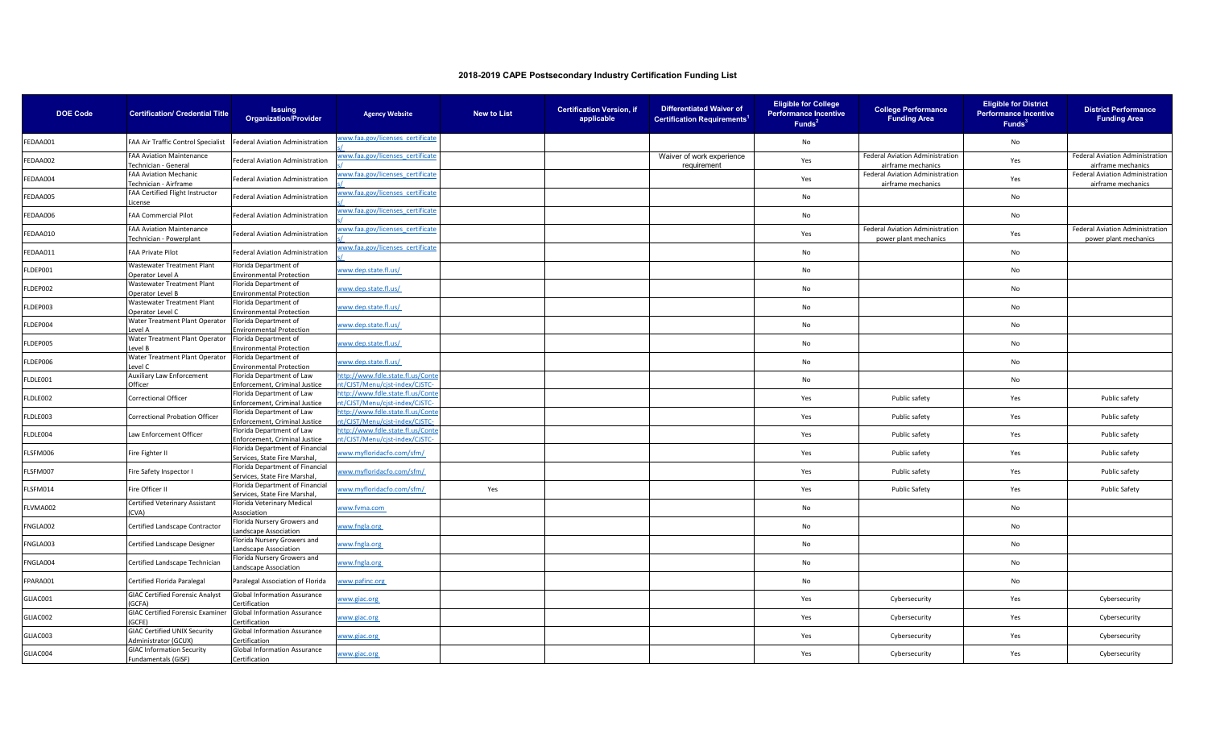| <b>DOE Code</b> | <b>Certification/ Credential Title</b>                      | <b>Issuing</b><br><b>Organization/Provider</b>                    | <b>Agency Website</b>                                               | New to List | <b>Certification Version, if</b><br>applicable | <b>Differentiated Waiver of</b><br><b>Certification Requirements</b> | <b>Eligible for College</b><br><b>Performance Incentive</b><br>Funds <sup>2</sup> | <b>College Performance</b><br><b>Funding Area</b>            | <b>Eligible for District</b><br><b>Performance Incentive</b><br>Funds <sup>3</sup> | <b>District Performance</b><br><b>Funding Area</b>           |
|-----------------|-------------------------------------------------------------|-------------------------------------------------------------------|---------------------------------------------------------------------|-------------|------------------------------------------------|----------------------------------------------------------------------|-----------------------------------------------------------------------------------|--------------------------------------------------------------|------------------------------------------------------------------------------------|--------------------------------------------------------------|
| FEDAA001        | FAA Air Traffic Control Specialist                          | Federal Aviation Administration                                   | ww.faa.gov/licenses certificate                                     |             |                                                |                                                                      | No                                                                                |                                                              | No                                                                                 |                                                              |
| EDAA002         | <b>FAA Aviation Maintenance</b><br>Technician - General     | ederal Aviation Administration                                    | vww.faa.gov/licenses certificate                                    |             |                                                | Waiver of work experience<br>requirement                             | Yes                                                                               | <b>Federal Aviation Administration</b><br>airframe mechanics | Yes                                                                                | <b>Federal Aviation Administration</b><br>airframe mechanics |
| EDAA004         | FAA Aviation Mechanic<br>Fechnician - Airframe              | ederal Aviation Administration                                    | vww.faa.gov/licenses certificate                                    |             |                                                |                                                                      | Yes                                                                               | Federal Aviation Administration<br>airframe mechanics        | Yes                                                                                | Federal Aviation Administration<br>airframe mechanics        |
| EDAA005         | FAA Certified Flight Instructor<br>icense                   | Federal Aviation Administration                                   | www.faa.gov/licenses certificate                                    |             |                                                |                                                                      | No                                                                                |                                                              | No                                                                                 |                                                              |
| EDAA006         | <b>FAA Commercial Pilot</b>                                 | ederal Aviation Administration                                    | vww.faa.gov/licenses certificate                                    |             |                                                |                                                                      | No                                                                                |                                                              | No                                                                                 |                                                              |
| EDAA010         | <b>FAA Aviation Maintenance</b><br>Fechnician - Powerplant  | ederal Aviation Administration                                    | vww.faa.gov/licenses certificate                                    |             |                                                |                                                                      | Yes                                                                               | Federal Aviation Administration<br>power plant mechanics     | Yes                                                                                | Federal Aviation Administration<br>power plant mechanics     |
| EDAA011         | <b>FAA Private Pilot</b>                                    | ederal Aviation Administration                                    | www.faa.gov/licenses certificate                                    |             |                                                |                                                                      | No                                                                                |                                                              | No                                                                                 |                                                              |
| LDEP001         | Wastewater Treatment Plant<br>Operator Level A              | Florida Department of<br>invironmental Protection                 | www.dep.state.fl.us/                                                |             |                                                |                                                                      | No                                                                                |                                                              | No                                                                                 |                                                              |
| LDEP002         | Wastewater Treatment Plant<br>Operator Level B              | Florida Department of<br><b>Environmental Protection</b>          | www.dep.state.fl.us/                                                |             |                                                |                                                                      | No                                                                                |                                                              | No                                                                                 |                                                              |
| LDEP003         | Wastewater Treatment Plant<br>Operator Level C              | Florida Department of<br><b>Environmental Protection</b>          | www.dep.state.fl.us/                                                |             |                                                |                                                                      | No                                                                                |                                                              | No                                                                                 |                                                              |
| LDEP004         | Water Treatment Plant Operator<br>evel A                    | Florida Department of<br>invironmental Protection                 | www.dep.state.fl.us/                                                |             |                                                |                                                                      | No                                                                                |                                                              | No                                                                                 |                                                              |
| LDEP005         | Water Treatment Plant Operator<br>evel B.                   | Florida Department of<br><b>Environmental Protection</b>          | www.dep.state.fl.us/                                                |             |                                                |                                                                      | No                                                                                |                                                              | No                                                                                 |                                                              |
| LDEP006         | Water Treatment Plant Operator<br>evel C                    | Florida Department of<br><b>Environmental Protection</b>          | www.dep.state.fl.us/                                                |             |                                                |                                                                      | No                                                                                |                                                              | No                                                                                 |                                                              |
| LDLE001         | Auxiliary Law Enforcement<br>Officer                        | Florida Department of Law<br>Enforcement, Criminal Justic         | ittp://www.fdle.state.fl.us/Conte<br>t/CJST/Menu/cist-index/CJSTC-  |             |                                                |                                                                      | No                                                                                |                                                              | No                                                                                 |                                                              |
| LDLE002         | Correctional Officer                                        | Florida Department of Law<br><b>Enforcement, Criminal Justice</b> | http://www.fdle.state.fl.us/Conte<br>it/CJST/Menu/cjst-index/CJSTC- |             |                                                |                                                                      | Yes                                                                               | Public safety                                                | Yes                                                                                | Public safety                                                |
| LDLE003         | Correctional Probation Officer                              | lorida Department of Law<br>Enforcement, Criminal Justice         | ttp://www.fdle.state.fl.us/Conte<br>t/CJST/Menu/cist-index/CJSTC-   |             |                                                |                                                                      | Yes                                                                               | Public safety                                                | Yes                                                                                | Public safety                                                |
| LDLE004         | Law Enforcement Officer                                     | Florida Department of Law<br>Enforcement, Criminal Justice        | ttp://www.fdle.state.fl.us/Cont<br>t/CJST/Menu/cjst-index/CJSTC-    |             |                                                |                                                                      | Yes                                                                               | Public safety                                                | Yes                                                                                | Public safety                                                |
| LSFM006         | Fire Fighter II                                             | Florida Department of Financial<br>Services, State Fire Marshal   | www.myfloridacfo.com/sfm/                                           |             |                                                |                                                                      | Yes                                                                               | Public safety                                                | Yes                                                                                | Public safety                                                |
| LSFM007         | Fire Safety Inspector I                                     | Florida Department of Financial<br>Services, State Fire Marshal   | www.myfloridacfo.com/sfm/                                           |             |                                                |                                                                      | Yes                                                                               | Public safety                                                | Yes                                                                                | Public safety                                                |
| LSFM014         | Fire Officer II                                             | Florida Department of Financial<br>Services, State Fire Marshal   | www.myfloridacfo.com/sfm/                                           | Yes         |                                                |                                                                      | Yes                                                                               | <b>Public Safety</b>                                         | Yes                                                                                | <b>Public Safety</b>                                         |
| LVMA002         | Certified Veterinary Assistant<br>CVA)                      | Florida Veterinary Medical<br>Association                         | vww.fvma.com                                                        |             |                                                |                                                                      | No                                                                                |                                                              | No                                                                                 |                                                              |
| NGLA002         | Certified Landscape Contractor                              | Florida Nursery Growers and<br>andscape Association               | www.fngla.org                                                       |             |                                                |                                                                      | No                                                                                |                                                              | No                                                                                 |                                                              |
| NGLA003         | Certified Landscape Designer                                | Florida Nursery Growers and<br>andscape Association               | www.fngla.org                                                       |             |                                                |                                                                      | No                                                                                |                                                              | No                                                                                 |                                                              |
| FNGLA004        | Certified Landscape Technician                              | Florida Nursery Growers and<br>Landscape Association              | www.fngla.org                                                       |             |                                                |                                                                      | No                                                                                |                                                              | No                                                                                 |                                                              |
| FPARA001        | Certified Florida Paralegal                                 | Paralegal Association of Florida                                  | www.pafinc.org                                                      |             |                                                |                                                                      | No                                                                                |                                                              | No                                                                                 |                                                              |
| GLIAC001        | <b>GIAC Certified Forensic Analyst</b><br>GCFA)             | Global Information Assurance<br>Certification                     | www.giac.org                                                        |             |                                                |                                                                      | Yes                                                                               | Cybersecurity                                                | Yes                                                                                | Cybersecurity                                                |
| GLIAC002        | <b>GIAC Certified Forensic Examiner</b><br>GCFE)            | <b>Global Information Assurance</b><br>Certification              | vww.giac.org                                                        |             |                                                |                                                                      | Yes                                                                               | Cybersecurity                                                | Yes                                                                                | Cybersecurity                                                |
| GLIAC003        | <b>GIAC Certified UNIX Security</b><br>Administrator (GCUX) | Global Information Assurance<br>Certification                     | vww.giac.org                                                        |             |                                                |                                                                      | Yes                                                                               | Cybersecurity                                                | Yes                                                                                | Cybersecurity                                                |
| GLIAC004        | <b>GIAC Information Security</b><br>Fundamentals (GISF)     | <b>Global Information Assurance</b><br>Certification              | www.giac.org                                                        |             |                                                |                                                                      | Yes                                                                               | Cybersecurity                                                | Yes                                                                                | Cybersecurity                                                |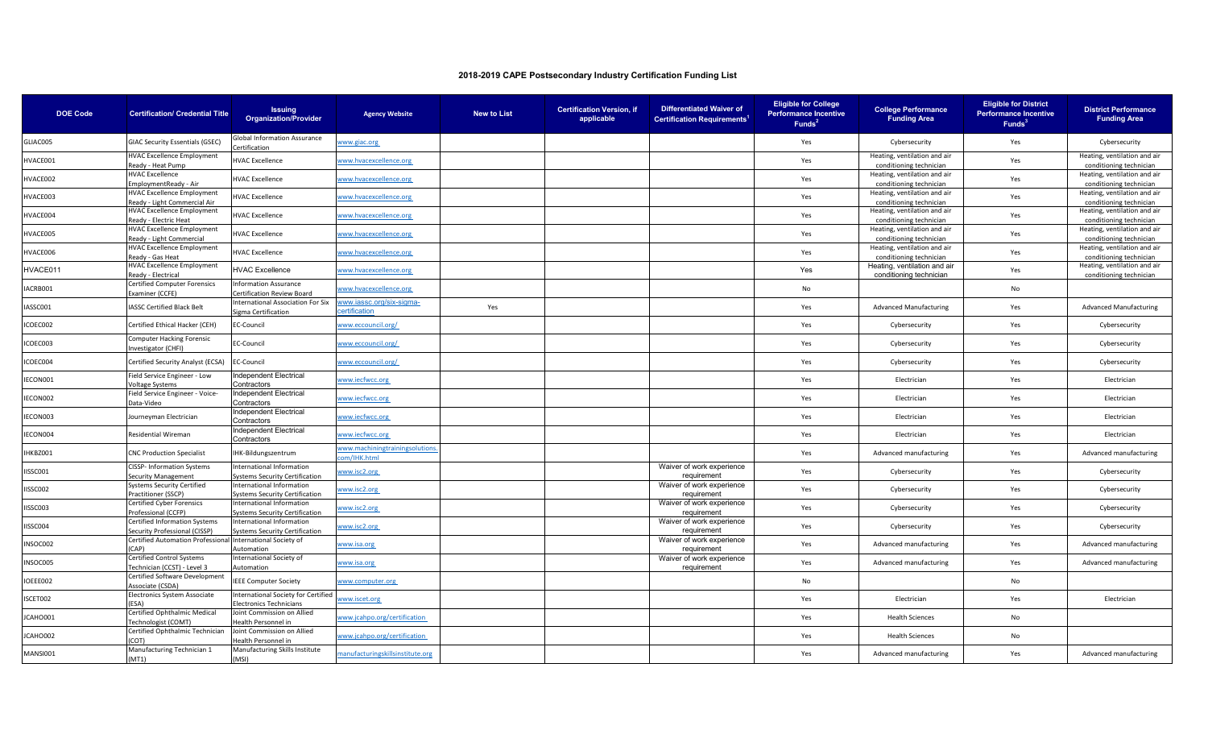| <b>DOE Code</b> | <b>Certification/ Credential Title</b>                            | <b>Issuing</b><br><b>Organization/Provider</b>                       | <b>Agency Website</b>                       | <b>New to List</b> | <b>Certification Version, if</b><br>applicable | <b>Differentiated Waiver of</b><br><b>Certification Requirements</b> | <b>Eligible for College</b><br><b>Performance Incentive</b><br>Funds <sup>2</sup> | <b>College Performance</b><br><b>Funding Area</b>       | <b>Eligible for District</b><br><b>Performance Incentive</b><br>Funds <sup>3</sup> | <b>District Performance</b><br><b>Funding Area</b>      |
|-----------------|-------------------------------------------------------------------|----------------------------------------------------------------------|---------------------------------------------|--------------------|------------------------------------------------|----------------------------------------------------------------------|-----------------------------------------------------------------------------------|---------------------------------------------------------|------------------------------------------------------------------------------------|---------------------------------------------------------|
| GLIAC005        | <b>GIAC Security Essentials (GSEC)</b>                            | <b>Global Information Assurance</b><br>Certification                 | www.giac.org                                |                    |                                                |                                                                      | Yes                                                                               | Cybersecurity                                           | Yes                                                                                | Cybersecurity                                           |
| IVACE001        | <b>HVAC Excellence Employment</b><br>Ready - Heat Pump            | <b>IVAC Excellence</b>                                               | www.hvacexcellence.org                      |                    |                                                |                                                                      | Yes                                                                               | Heating, ventilation and air<br>conditioning technician | Yes                                                                                | Heating, ventilation and air<br>conditioning technician |
| <b>IVACE002</b> | <b>HVAC Excellence</b><br>mploymentReady - Air                    | <b>HVAC Excellence</b>                                               | www.hvacexcellence.org                      |                    |                                                |                                                                      | Yes                                                                               | Heating, ventilation and air<br>conditioning technician | Yes                                                                                | Heating, ventilation and air<br>conditioning technician |
| <b>IVACE003</b> | <b>HVAC Excellence Employment</b><br>Ready - Light Commercial Air | <b>IVAC Excellence</b>                                               | www.hvacexcellence.org                      |                    |                                                |                                                                      | Yes                                                                               | Heating, ventilation and air<br>conditioning technician | Yes                                                                                | Heating, ventilation and air<br>conditioning technician |
| IVACE004        | <b>HVAC Excellence Employment</b><br>Ready - Electric Heat        | <b>IVAC Excellence</b>                                               | www.hvacexcellence.org                      |                    |                                                |                                                                      | Yes                                                                               | Heating, ventilation and air<br>conditioning technician | Yes                                                                                | Heating, ventilation and air<br>conditioning technician |
| IVACE005        | <b>HVAC Excellence Employment</b><br>Ready - Light Commercial     | <b>HVAC Excellence</b>                                               | www.hvacexcellence.org                      |                    |                                                |                                                                      | Yes                                                                               | Heating, ventilation and air<br>conditioning technician | Yes                                                                                | Heating, ventilation and air<br>conditioning technician |
| <b>IVACE006</b> | <b>HVAC Excellence Employment</b><br>Ready - Gas Heat             | <b>IVAC Excellence</b>                                               | www.hvacexcellence.org                      |                    |                                                |                                                                      | Yes                                                                               | Heating, ventilation and air<br>conditioning technician | Yes                                                                                | Heating, ventilation and air<br>conditioning technician |
| HVACE011        | <b>HVAC Excellence Employment</b><br>Ready - Electrical           | <b>HVAC Excellence</b>                                               | www.hvacexcellence.org                      |                    |                                                |                                                                      | Yes                                                                               | Heating, ventilation and air<br>conditioning technician | Yes                                                                                | Heating, ventilation and air<br>conditioning technician |
| ACRB001         | <b>Certified Computer Forensics</b><br>Examiner (CCFE)            | <b>Information Assurance</b><br><b>Certification Review Board</b>    | vww.hvacexcellence.org                      |                    |                                                |                                                                      | No                                                                                |                                                         | No                                                                                 |                                                         |
| ASSC001         | <b>IASSC Certified Black Belt</b>                                 | nternational Association For Six<br>igma Certification               | www.iassc.org/six-sigma-<br>ertification    | Yes                |                                                |                                                                      | Yes                                                                               | <b>Advanced Manufacturing</b>                           | Yes                                                                                | <b>Advanced Manufacturing</b>                           |
| COEC002         | Certified Ethical Hacker (CEH)                                    | EC-Council                                                           | www.eccouncil.org/                          |                    |                                                |                                                                      | Yes                                                                               | Cybersecurity                                           | Yes                                                                                | Cybersecurity                                           |
| ICOEC003        | Computer Hacking Forensic<br>Investigator (CHFI)                  | EC-Council                                                           | www.eccouncil.org/                          |                    |                                                |                                                                      | Yes                                                                               | Cybersecurity                                           | Yes                                                                                | Cybersecurity                                           |
| ICOEC004        | Certified Security Analyst (ECSA)                                 | <b>EC-Council</b>                                                    | www.eccouncil.org/                          |                    |                                                |                                                                      | Yes                                                                               | Cybersecurity                                           | Yes                                                                                | Cybersecurity                                           |
| ECON001         | Field Service Engineer - Low<br>Voltage Systems                   | Independent Electrical<br>Contractors                                | vww.iecfwcc.org                             |                    |                                                |                                                                      | Yes                                                                               | Electrician                                             | Yes                                                                                | Electrician                                             |
| ECON002         | Field Service Engineer - Voice-<br>Data-Video                     | <b>Independent Electrical</b><br>Contractors                         | vww.iecfwcc.org                             |                    |                                                |                                                                      | Yes                                                                               | Electrician                                             | Yes                                                                                | Electrician                                             |
| ECON003         | Journeyman Electrician                                            | Independent Electrical<br>Contractors                                | www.iecfwcc.org                             |                    |                                                |                                                                      | Yes                                                                               | Electrician                                             | Yes                                                                                | Electrician                                             |
| ECON004         | <b>Residential Wireman</b>                                        | Independent Electrical<br>Contractors                                | www.iecfwcc.org                             |                    |                                                |                                                                      | Yes                                                                               | Electrician                                             | Yes                                                                                | Electrician                                             |
| <b>HKBZ001</b>  | <b>CNC Production Specialist</b>                                  | IHK-Bildungszentrum                                                  | www.machiningtrainingsolution<br>m/IHK.html |                    |                                                |                                                                      | Yes                                                                               | Advanced manufacturing                                  | Yes                                                                                | Advanced manufacturing                                  |
| <b>ISSC001</b>  | <b>CISSP- Information Systems</b><br>Security Management          | International Information<br><b>Systems Security Certification</b>   | vww.isc2.org                                |                    |                                                | Waiver of work experience<br>requirement                             | Yes                                                                               | Cybersecurity                                           | Yes                                                                                | Cybersecurity                                           |
| ISSC002         | Systems Security Certified<br>Practitioner (SSCP)                 | International Information<br><b>Systems Security Certification</b>   | vww.isc2.org                                |                    |                                                | Waiver of work experience<br>requirement                             | Yes                                                                               | Cybersecurity                                           | Yes                                                                                | Cybersecurity                                           |
| ISSC003         | Certified Cyber Forensics<br>Professional (CCFP)                  | nternational Information<br><b>Systems Security Certification</b>    | www.isc2.org                                |                    |                                                | Waiver of work experience<br>requirement                             | Yes                                                                               | Cybersecurity                                           | Yes                                                                                | Cybersecurity                                           |
| ISSC004         | Certified Information Systems<br>Security Professional (CISSP)    | International Information<br>Systems Security Certification          | www.isc2.org                                |                    |                                                | Waiver of work experience<br>requirement                             | Yes                                                                               | Cybersecurity                                           | Yes                                                                                | Cybersecurity                                           |
| NSOC002         | <b>Certified Automation Professional</b><br>(AP)                  | International Society of<br>Automation                               | www.isa.org                                 |                    |                                                | Waiver of work experience<br>requirement                             | Yes                                                                               | Advanced manufacturing                                  | Yes                                                                                | Advanced manufacturing                                  |
| NSOC005         | <b>Certified Control Systems</b><br>Technician (CCST) - Level 3   | nternational Society of<br>Automation                                | www.isa.org                                 |                    |                                                | Waiver of work experience<br>requirement                             | Yes                                                                               | Advanced manufacturing                                  | Yes                                                                                | Advanced manufacturing                                  |
| IOEEE002        | Certified Software Development<br>Associate (CSDA)                | <b>IEEE Computer Society</b>                                         | www.computer.org                            |                    |                                                |                                                                      | No                                                                                |                                                         | No                                                                                 |                                                         |
| SCET002         | Electronics System Associate<br><b>FSA)</b>                       | <b>International Society for Certified</b><br>lectronics Technicians | www.iscet.org                               |                    |                                                |                                                                      | Yes                                                                               | Electrician                                             | Yes                                                                                | Electrician                                             |
| JCAHO001        | Certified Ophthalmic Medical<br>Fechnologist (COMT)               | Joint Commission on Allied<br>Health Personnel in                    | www.jcahpo.org/certification                |                    |                                                |                                                                      | Yes                                                                               | <b>Health Sciences</b>                                  | No                                                                                 |                                                         |
| ICAHO002        | Certified Ophthalmic Technician<br>COT)                           | Joint Commission on Allied<br>lealth Personnel in                    | www.jcahpo.org/certification                |                    |                                                |                                                                      | Yes                                                                               | <b>Health Sciences</b>                                  | No                                                                                 |                                                         |
| MANSI001        | Manufacturing Technician 1<br>(MT1)                               | Manufacturing Skills Institute<br>(MSI)                              | nanufacturingskillsinstitute.org            |                    |                                                |                                                                      | Yes                                                                               | Advanced manufacturing                                  | Yes                                                                                | Advanced manufacturing                                  |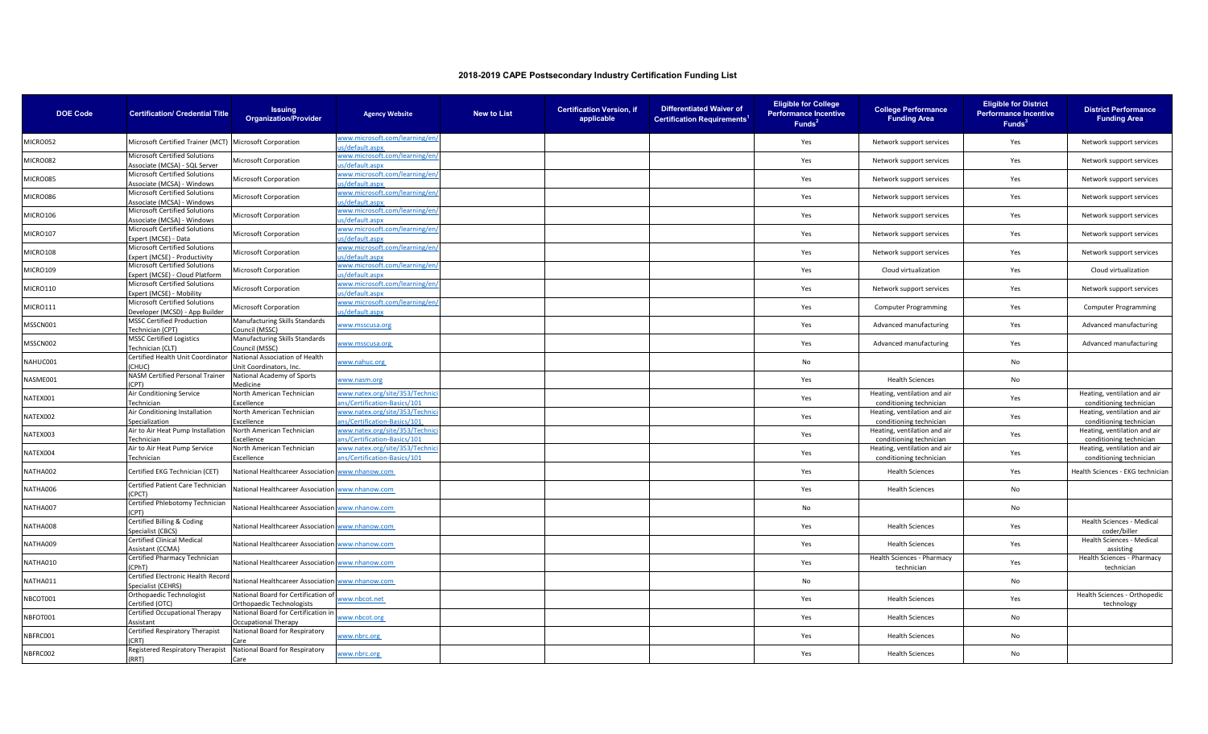| <b>DOE Code</b> | <b>Certification/ Credential Title</b>                             | <b>Issuing</b><br><b>Organization/Provider</b>                   | <b>Agency Website</b>                                         | <b>New to List</b> | <b>Certification Version, if</b><br>applicable | <b>Differentiated Waiver of</b><br><b>Certification Requirements<sup>1</sup></b> | <b>Eligible for College</b><br><b>Performance Incentive</b><br>Funds <sup>2</sup> | <b>College Performance</b><br><b>Funding Area</b>       | <b>Eligible for District</b><br><b>Performance Incentive</b><br>Funds <sup>3</sup> | <b>District Performance</b><br><b>Funding Area</b>      |
|-----------------|--------------------------------------------------------------------|------------------------------------------------------------------|---------------------------------------------------------------|--------------------|------------------------------------------------|----------------------------------------------------------------------------------|-----------------------------------------------------------------------------------|---------------------------------------------------------|------------------------------------------------------------------------------------|---------------------------------------------------------|
| MICRO052        | Microsoft Certified Trainer (MCT) Microsoft Corporation            |                                                                  | www.microsoft.com/learning/en/<br>s/default.aspx              |                    |                                                |                                                                                  | Yes                                                                               | Network support services                                | Yes                                                                                | Network support services                                |
| MICRO082        | Microsoft Certified Solutions<br>Associate (MCSA) - SQL Server     | Microsoft Corporation                                            | www.microsoft.com/learning/en/<br>s/default.aspx              |                    |                                                |                                                                                  | Yes                                                                               | Network support services                                | Yes                                                                                | Network support services                                |
| MICRO085        | Microsoft Certified Solutions<br>Associate (MCSA) - Windows        | Microsoft Corporation                                            | www.microsoft.com/learning/en/<br>is/default.aspx             |                    |                                                |                                                                                  | Yes                                                                               | Network support services                                | Yes                                                                                | Network support services                                |
| MICRO086        | Microsoft Certified Solutions<br>Associate (MCSA) - Windows        | Microsoft Corporation                                            | www.microsoft.com/learning/en/<br>s/default.aspx              |                    |                                                |                                                                                  | Yes                                                                               | Network support services                                | Yes                                                                                | Network support services                                |
| <b>MICRO106</b> | <b>Microsoft Certified Solutions</b><br>Associate (MCSA) - Windows | Microsoft Corporation                                            | www.microsoft.com/learning/en/<br>s/default.aspx              |                    |                                                |                                                                                  | Yes                                                                               | Network support services                                | Yes                                                                                | Network support services                                |
| MICRO107        | Microsoft Certified Solutions<br>Expert (MCSE) - Data              | Microsoft Corporation                                            | www.microsoft.com/learning/en/<br>s/default.aspx              |                    |                                                |                                                                                  | Yes                                                                               | Network support services                                | Yes                                                                                | Network support services                                |
| <b>MICRO108</b> | Microsoft Certified Solutions<br>Expert (MCSE) - Productivity      | Microsoft Corporation                                            | www.microsoft.com/learning/en/<br>s/default.aspx              |                    |                                                |                                                                                  | Yes                                                                               | Network support services                                | Yes                                                                                | Network support services                                |
| MICRO109        | Microsoft Certified Solutions<br>Expert (MCSE) - Cloud Platform    | Microsoft Corporation                                            | www.microsoft.com/learning/en/<br>is/default.aspx             |                    |                                                |                                                                                  | Yes                                                                               | Cloud virtualization                                    | Yes                                                                                | Cloud virtualization                                    |
| MICRO110        | Microsoft Certified Solutions<br>Expert (MCSE) - Mobility          | <b>Microsoft Corporation</b>                                     | www.microsoft.com/learning/en/<br>is/default.aspx             |                    |                                                |                                                                                  | Yes                                                                               | Network support services                                | Yes                                                                                | Network support services                                |
| <b>MICRO111</b> | Microsoft Certified Solutions<br>Developer (MCSD) - App Builder    | Microsoft Corporation                                            | www.microsoft.com/learning/en/<br>is/default.aspx             |                    |                                                |                                                                                  | Yes                                                                               | <b>Computer Programming</b>                             | Yes                                                                                | <b>Computer Programming</b>                             |
| MSSCN001        | <b>MSSC Certified Production</b><br>Technician (CPT)               | Manufacturing Skills Standards<br><b>Council (MSSC)</b>          | www.msscusa.org                                               |                    |                                                |                                                                                  | Yes                                                                               | Advanced manufacturing                                  | Yes                                                                                | Advanced manufacturing                                  |
| MSSCN002        | <b>MSSC Certified Logistics</b><br>Technician (CLT)                | Manufacturing Skills Standards<br>Council (MSSC)                 | www.msscusa.org                                               |                    |                                                |                                                                                  | Yes                                                                               | Advanced manufacturing                                  | Yes                                                                                | Advanced manufacturing                                  |
| NAHUC001        | Certified Health Unit Coordinator<br><b>CHUC</b>                   | National Association of Health<br>Jnit Coordinators, Inc.        | www.nahuc.org                                                 |                    |                                                |                                                                                  | No                                                                                |                                                         | No                                                                                 |                                                         |
| NASME001        | NASM Certified Personal Trainer<br>(CPT)                           | National Academy of Sports<br>Medicine                           | www.nasm.org                                                  |                    |                                                |                                                                                  | Yes                                                                               | <b>Health Sciences</b>                                  | No                                                                                 |                                                         |
| NATEX001        | Air Conditioning Service<br>Technician                             | North American Technician<br>Excellence                          | www.natex.org/site/353/Technic<br>ns/Certification-Basics/101 |                    |                                                |                                                                                  | Yes                                                                               | Heating, ventilation and air<br>conditioning technician | Yes                                                                                | Heating, ventilation and air<br>conditioning technician |
| NATEX002        | Air Conditioning Installation<br>Specialization                    | North American Technician<br>xcellence                           | www.natex.org/site/353/Technio<br>ns/Certification-Basics/101 |                    |                                                |                                                                                  | Yes                                                                               | Heating, ventilation and air<br>conditioning technician | Yes                                                                                | Heating, ventilation and air<br>conditioning technician |
| NATEX003        | Air to Air Heat Pump Installation<br>Technician                    | North American Technician<br>xcellence                           | www.natex.org/site/353/Techni<br>ns/Certification-Basics/101  |                    |                                                |                                                                                  | Yes                                                                               | Heating, ventilation and air<br>conditioning technician | Yes                                                                                | Heating, ventilation and air<br>conditioning technician |
| NATEX004        | Air to Air Heat Pump Service<br>Technician                         | North American Technician<br>xcellence                           | www.natex.org/site/353/Techni<br>ns/Certification-Basics/101  |                    |                                                |                                                                                  | Yes                                                                               | Heating, ventilation and air<br>conditioning technician | Yes                                                                                | Heating, ventilation and air<br>conditioning technician |
| NATHA002        | Certified EKG Technician (CET)                                     | National Healthcareer Association www.nhanow.com                 |                                                               |                    |                                                |                                                                                  | Yes                                                                               | <b>Health Sciences</b>                                  | Yes                                                                                | Health Sciences - EKG technician                        |
| NATHA006        | Certified Patient Care Technician<br>(CPCT)                        | National Healthcareer Association www.nhanow.com                 |                                                               |                    |                                                |                                                                                  | Yes                                                                               | <b>Health Sciences</b>                                  | No                                                                                 |                                                         |
| NATHA007        | Certified Phlebotomy Technician<br>(CPT)                           | National Healthcareer Association www.nhanow.com                 |                                                               |                    |                                                |                                                                                  | No                                                                                |                                                         | No                                                                                 |                                                         |
| NATHA008        | Certified Billing & Coding<br>Specialist (CBCS)                    | National Healthcareer Association www.nhanow.com                 |                                                               |                    |                                                |                                                                                  | Yes                                                                               | <b>Health Sciences</b>                                  | Yes                                                                                | Health Sciences - Medical<br>coder/biller               |
| NATHA009        | Certified Clinical Medical<br>Assistant (CCMA)                     | National Healthcareer Association www.nhanow.com                 |                                                               |                    |                                                |                                                                                  | Yes                                                                               | <b>Health Sciences</b>                                  | Yes                                                                                | Health Sciences - Medical<br>assisting                  |
| NATHA010        | Certified Pharmacy Technician<br>(CPhT)                            | National Healthcareer Association www.nhanow.com                 |                                                               |                    |                                                |                                                                                  | Yes                                                                               | Health Sciences - Pharmacy<br>technician                | Yes                                                                                | Health Sciences - Pharmacy<br>technician                |
| NATHA011        | Certified Electronic Health Record<br>Specialist (CEHRS)           | National Healthcareer Association www.nhanow.com                 |                                                               |                    |                                                |                                                                                  | No                                                                                |                                                         | No                                                                                 |                                                         |
| NBCOT001        | Orthopaedic Technologist<br>Certified (OTC)                        | National Board for Certification of<br>Orthopaedic Technologists | www.nbcot.net                                                 |                    |                                                |                                                                                  | Yes                                                                               | <b>Health Sciences</b>                                  | Yes                                                                                | Health Sciences - Orthopedic<br>technology              |
| NBFOT001        | Certified Occupational Therapy<br>Assistant                        | National Board for Certification in<br>Occupational Therapy      | www.nbcot.org                                                 |                    |                                                |                                                                                  | Yes                                                                               | <b>Health Sciences</b>                                  | No                                                                                 |                                                         |
| NBFRC001        | Certified Respiratory Therapist<br>CRT)                            | National Board for Respiratory                                   | www.nbrc.org                                                  |                    |                                                |                                                                                  | Yes                                                                               | <b>Health Sciences</b>                                  | No                                                                                 |                                                         |
| NBFRC002        | Registered Respiratory Therapist<br>(RRT)                          | National Board for Respiratory<br>Care                           | www.nbrc.org                                                  |                    |                                                |                                                                                  | Yes                                                                               | <b>Health Sciences</b>                                  | No                                                                                 |                                                         |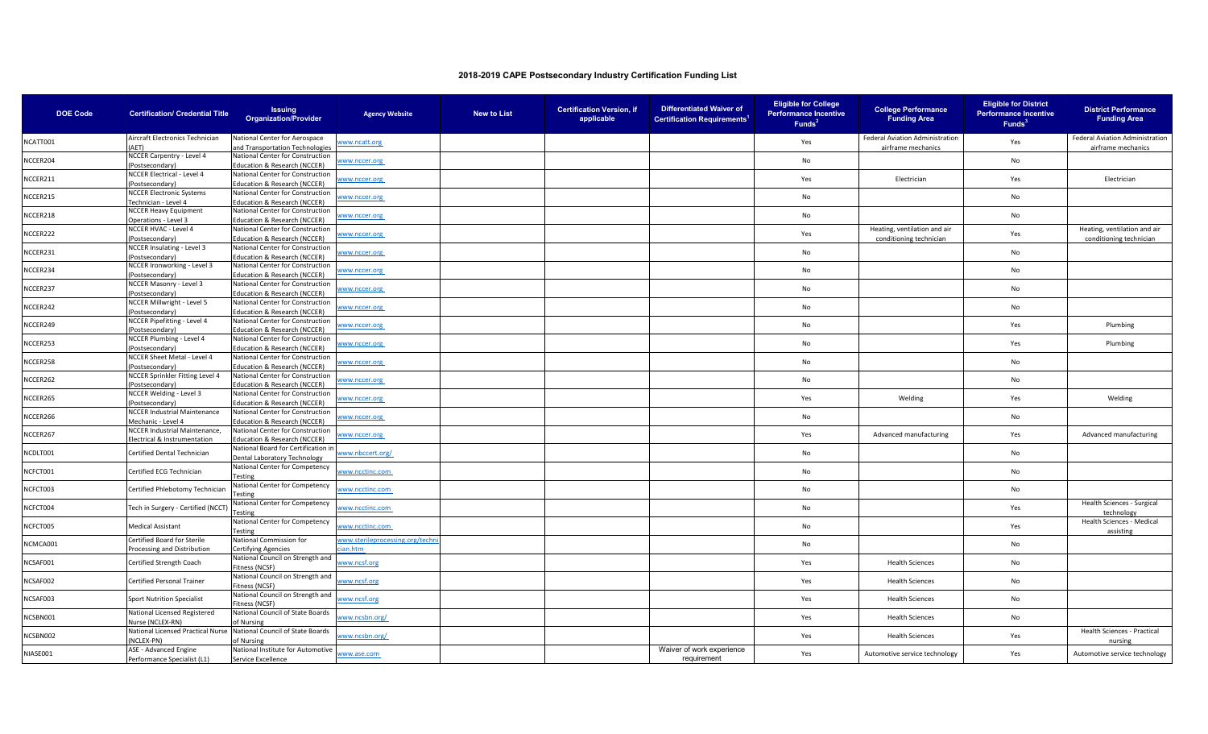| <b>DOE Code</b> | <b>Certification/ Credential Title</b>             | <b>Issuing</b><br><b>Organization/Provider</b>                              | <b>Agency Website</b>           | <b>New to List</b> | <b>Certification Version, if</b><br>applicable | <b>Differentiated Waiver of</b><br><b>Certification Requirements</b> | <b>Eligible for College</b><br><b>Performance Incentive</b><br>Funds <sup>2</sup> | <b>College Performance</b><br><b>Funding Area</b>       | <b>Eligible for District</b><br><b>Performance Incentive</b><br>Funds <sup>3</sup> | <b>District Performance</b><br><b>Funding Area</b>      |
|-----------------|----------------------------------------------------|-----------------------------------------------------------------------------|---------------------------------|--------------------|------------------------------------------------|----------------------------------------------------------------------|-----------------------------------------------------------------------------------|---------------------------------------------------------|------------------------------------------------------------------------------------|---------------------------------------------------------|
|                 | Aircraft Electronics Technician                    | National Center for Aerospace                                               |                                 |                    |                                                |                                                                      | Yes                                                                               | Federal Aviation Administration                         |                                                                                    | Federal Aviation Administration                         |
| NCATT001        | (AET)                                              | and Transportation Technologies                                             | www.ncatt.org                   |                    |                                                |                                                                      |                                                                                   | airframe mechanics                                      | Yes                                                                                | airframe mechanics                                      |
| NCCER204        | NCCER Carpentry - Level 4                          | National Center for Construction                                            | www.nccer.org                   |                    |                                                |                                                                      | No                                                                                |                                                         | No                                                                                 |                                                         |
|                 | (Postsecondary)<br>NCCER Electrical - Level 4      | ducation & Research (NCCER)<br>National Center for Construction             |                                 |                    |                                                |                                                                      |                                                                                   |                                                         |                                                                                    |                                                         |
| NCCER211        | Postsecondary)                                     | ducation & Research (NCCER)                                                 | www.nccer.org                   |                    |                                                |                                                                      | Yes                                                                               | Electrician                                             | Yes                                                                                | Electrician                                             |
|                 | <b>NCCER Electronic Systems</b>                    | National Center for Construction                                            |                                 |                    |                                                |                                                                      |                                                                                   |                                                         |                                                                                    |                                                         |
| NCCER215        | Technician - Level 4                               | Education & Research (NCCER)                                                | www.nccer.org                   |                    |                                                |                                                                      | No                                                                                |                                                         | No                                                                                 |                                                         |
| NCCER218        | <b>NCCER Heavy Equipment</b>                       | National Center for Construction                                            | www.nccer.org                   |                    |                                                |                                                                      | No                                                                                |                                                         | No                                                                                 |                                                         |
|                 | Operations - Level 3                               | <b>Education &amp; Research (NCCER)</b>                                     |                                 |                    |                                                |                                                                      |                                                                                   |                                                         |                                                                                    |                                                         |
| NCCER222        | NCCER HVAC - Level 4<br>(Postsecondary)            | National Center for Construction<br>ducation & Research (NCCER)             | www.nccer.org                   |                    |                                                |                                                                      | Yes                                                                               | Heating, ventilation and air<br>conditioning technician | Yes                                                                                | Heating, ventilation and air<br>conditioning technician |
|                 | NCCER Insulating - Level 3                         | National Center for Construction                                            |                                 |                    |                                                |                                                                      |                                                                                   |                                                         |                                                                                    |                                                         |
| NCCER231        | (Postsecondary)                                    | <b>Education &amp; Research (NCCER)</b>                                     | www.nccer.org                   |                    |                                                |                                                                      | No                                                                                |                                                         | No                                                                                 |                                                         |
| NCCER234        | NCCER Ironworking - Level 3                        | National Center for Construction                                            | www.nccer.org                   |                    |                                                |                                                                      | No                                                                                |                                                         | No                                                                                 |                                                         |
|                 | Postsecondary)                                     | ducation & Research (NCCER)                                                 |                                 |                    |                                                |                                                                      |                                                                                   |                                                         |                                                                                    |                                                         |
| NCCER237        | NCCER Masonry - Level 3                            | National Center for Construction                                            | ww.nccer.org                    |                    |                                                |                                                                      | No                                                                                |                                                         | No                                                                                 |                                                         |
|                 | (Postsecondary)<br>NCCER Millwright - Level 5      | Education & Research (NCCER)<br>National Center for Construction            |                                 |                    |                                                |                                                                      |                                                                                   |                                                         |                                                                                    |                                                         |
| NCCER242        | Postsecondary)                                     | <b>Education &amp; Research (NCCER)</b>                                     | www.nccer.org                   |                    |                                                |                                                                      | No                                                                                |                                                         | No                                                                                 |                                                         |
| NCCER249        | NCCER Pipefitting - Level 4                        | National Center for Construction                                            |                                 |                    |                                                |                                                                      | No                                                                                |                                                         |                                                                                    | Plumbing                                                |
|                 | (Postsecondary)                                    | ducation & Research (NCCER)                                                 | www.nccer.org                   |                    |                                                |                                                                      |                                                                                   |                                                         | Yes                                                                                |                                                         |
| NCCER253        | NCCER Plumbing - Level 4                           | National Center for Construction                                            | www.nccer.org                   |                    |                                                |                                                                      | No                                                                                |                                                         | Yes                                                                                | Plumbing                                                |
|                 | Postsecondary)<br>NCCER Sheet Metal - Level 4      | <b>Education &amp; Research (NCCER)</b><br>National Center for Construction |                                 |                    |                                                |                                                                      |                                                                                   |                                                         |                                                                                    |                                                         |
| NCCER258        | Postsecondary)                                     | ducation & Research (NCCER)                                                 | www.nccer.org                   |                    |                                                |                                                                      | No                                                                                |                                                         | No                                                                                 |                                                         |
|                 | NCCER Sprinkler Fitting Level 4                    | National Center for Construction                                            |                                 |                    |                                                |                                                                      |                                                                                   |                                                         |                                                                                    |                                                         |
| NCCER262        | (Postsecondary)                                    | <b>Education &amp; Research (NCCER)</b>                                     | www.nccer.org                   |                    |                                                |                                                                      | No                                                                                |                                                         | No                                                                                 |                                                         |
| NCCER265        | NCCER Welding - Level 3                            | National Center for Construction                                            | www.nccer.org                   |                    |                                                |                                                                      | Yes                                                                               | Welding                                                 | Yes                                                                                | Welding                                                 |
|                 | (Postsecondary)                                    | ducation & Research (NCCER)                                                 |                                 |                    |                                                |                                                                      |                                                                                   |                                                         |                                                                                    |                                                         |
| NCCER266        | NCCER Industrial Maintenance<br>Mechanic - Level 4 | National Center for Construction<br>ducation & Research (NCCER)             | www.nccer.org                   |                    |                                                |                                                                      | No                                                                                |                                                         | No                                                                                 |                                                         |
|                 | NCCER Industrial Maintenance,                      | National Center for Construction                                            |                                 |                    |                                                |                                                                      |                                                                                   |                                                         |                                                                                    |                                                         |
| NCCER267        | Electrical & Instrumentation                       | ducation & Research (NCCER)                                                 | www.nccer.org                   |                    |                                                |                                                                      | Yes                                                                               | Advanced manufacturing                                  | Yes                                                                                | Advanced manufacturing                                  |
| NCDLT001        | Certified Dental Technician                        | National Board for Certification in                                         | www.nbccert.org/                |                    |                                                |                                                                      | No                                                                                |                                                         | No                                                                                 |                                                         |
|                 |                                                    | Dental Laboratory Technology                                                |                                 |                    |                                                |                                                                      |                                                                                   |                                                         |                                                                                    |                                                         |
| NCFCT001        | Certified ECG Technician                           | National Center for Competency<br>Testing                                   | www.ncctinc.com                 |                    |                                                |                                                                      | No                                                                                |                                                         | No                                                                                 |                                                         |
|                 |                                                    | National Center for Competency                                              |                                 |                    |                                                |                                                                      |                                                                                   |                                                         |                                                                                    |                                                         |
| NCFCT003        | Certified Phlebotomy Technician                    | <b>Testing</b>                                                              | www.ncctinc.com                 |                    |                                                |                                                                      | No                                                                                |                                                         | No                                                                                 |                                                         |
| NCFCT004        | Tech in Surgery - Certified (NCCT)                 | lational Center for Competency                                              | www.ncctinc.com                 |                    |                                                |                                                                      | No                                                                                |                                                         | Yes                                                                                | Health Sciences - Surgical                              |
|                 |                                                    | esting                                                                      |                                 |                    |                                                |                                                                      |                                                                                   |                                                         |                                                                                    | technology                                              |
| NCFCT005        | <b>Medical Assistant</b>                           | National Center for Competency                                              | www.ncctinc.com                 |                    |                                                |                                                                      | No                                                                                |                                                         | Yes                                                                                | Health Sciences - Medical                               |
|                 | Certified Board for Sterile                        | esting<br>National Commission for                                           | www.sterileprocessing.org/techn |                    |                                                |                                                                      |                                                                                   |                                                         |                                                                                    | assisting                                               |
| NCMCA001        | Processing and Distribution                        | Certifying Agencies                                                         | ian.htm                         |                    |                                                |                                                                      | No                                                                                |                                                         | No                                                                                 |                                                         |
| NCSAF001        | Certified Strength Coach                           | National Council on Strength and                                            |                                 |                    |                                                |                                                                      | Yes                                                                               | <b>Health Sciences</b>                                  | No                                                                                 |                                                         |
|                 |                                                    | itness (NCSF)                                                               | www.ncsf.org                    |                    |                                                |                                                                      |                                                                                   |                                                         |                                                                                    |                                                         |
| NCSAF002        | Certified Personal Trainer                         | National Council on Strength and                                            | www.ncsf.org                    |                    |                                                |                                                                      | Yes                                                                               | <b>Health Sciences</b>                                  | No                                                                                 |                                                         |
|                 |                                                    | itness (NCSF)<br>National Council on Strength and                           |                                 |                    |                                                |                                                                      |                                                                                   |                                                         |                                                                                    |                                                         |
| NCSAF003        | <b>Sport Nutrition Specialist</b>                  | itness (NCSF)                                                               | www.ncsf.org                    |                    |                                                |                                                                      | Yes                                                                               | <b>Health Sciences</b>                                  | No                                                                                 |                                                         |
|                 | National Licensed Registered                       | National Council of State Boards                                            |                                 |                    |                                                |                                                                      |                                                                                   |                                                         |                                                                                    |                                                         |
| NCSBN001        | Nurse (NCLEX-RN)                                   | of Nursing                                                                  | www.ncsbn.org/                  |                    |                                                |                                                                      | Yes                                                                               | <b>Health Sciences</b>                                  | No                                                                                 |                                                         |
| NCSBN002        | National Licensed Practical Nurse                  | National Council of State Boards                                            | www.ncsbn.org/                  |                    |                                                |                                                                      | Yes                                                                               | <b>Health Sciences</b>                                  | Yes                                                                                | Health Sciences - Practical                             |
|                 | (NCLEX-PN)<br>ASE - Advanced Engine                | of Nursing<br>National Institute for Automotive                             |                                 |                    |                                                | Waiver of work experience                                            |                                                                                   |                                                         |                                                                                    | nursing                                                 |
| NIASE001        | Performance Specialist (L1)                        | Service Excellence                                                          | www.ase.com                     |                    |                                                | requirement                                                          | Yes                                                                               | Automotive service technology                           | Yes                                                                                | Automotive service technology                           |
|                 |                                                    |                                                                             |                                 |                    |                                                |                                                                      |                                                                                   |                                                         |                                                                                    |                                                         |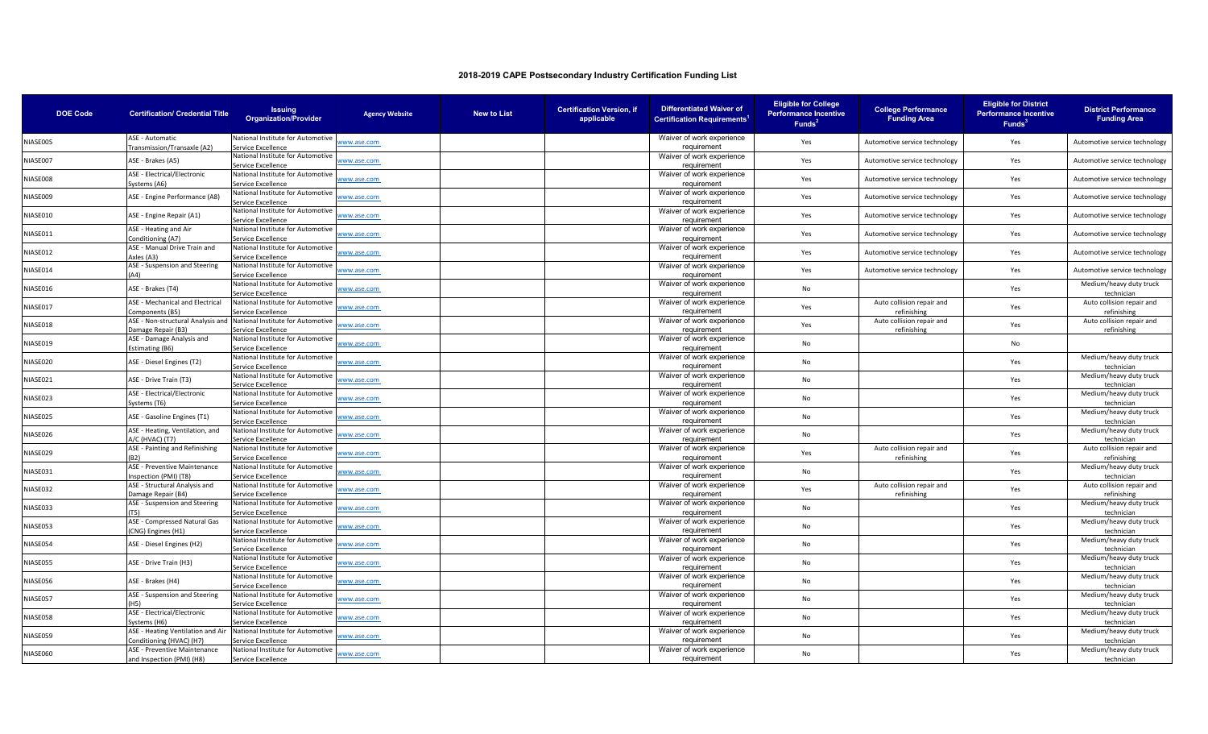| <b>DOE Code</b> | <b>Certification/ Credential Title</b>                        | <b>Issuing</b><br><b>Organization/Provider</b>          | <b>Agency Website</b> | <b>New to List</b> | <b>Certification Version, if</b><br>applicable | <b>Differentiated Waiver of</b><br><b>Certification Requirements</b> | <b>Eligible for College</b><br><b>Performance Incentive</b><br>Funds <sup>2</sup> | <b>College Performance</b><br><b>Funding Area</b> | <b>Eligible for District</b><br><b>Performance Incentive</b><br>Funds <sup>3</sup> | <b>District Performance</b><br><b>Funding Area</b> |
|-----------------|---------------------------------------------------------------|---------------------------------------------------------|-----------------------|--------------------|------------------------------------------------|----------------------------------------------------------------------|-----------------------------------------------------------------------------------|---------------------------------------------------|------------------------------------------------------------------------------------|----------------------------------------------------|
| NIASE005        | ASE - Automatic<br>Transmission/Transaxle (A2)                | National Institute for Automotive<br>Service Excellence | ww.ase.com            |                    |                                                | Waiver of work experience<br>requirement                             | Yes                                                                               | Automotive service technology                     | Yes                                                                                | Automotive service technology                      |
| NIASE007        | ASE - Brakes (A5)                                             | National Institute for Automotive<br>Service Excellence | vww.ase.com           |                    |                                                | Waiver of work experience<br>requirement                             | Yes                                                                               | Automotive service technology                     | Yes                                                                                | Automotive service technology                      |
| NIASE008        | ASE - Electrical/Electronic<br>Systems (A6)                   | National Institute for Automotive<br>Service Excellence | vww.ase.com           |                    |                                                | Waiver of work experience<br>requirement                             | Yes                                                                               | Automotive service technology                     | Yes                                                                                | Automotive service technology                      |
| NIASE009        | ASE - Engine Performance (A8)                                 | National Institute for Automotive<br>Service Excellence | vww.ase.com           |                    |                                                | Waiver of work experience<br>requirement                             | Yes                                                                               | Automotive service technology                     | Yes                                                                                | Automotive service technology                      |
| VIASE010        | ASE - Engine Repair (A1)                                      | National Institute for Automotive<br>Service Excellence | www.ase.com           |                    |                                                | Waiver of work experience<br>requirement                             | Yes                                                                               | Automotive service technology                     | Yes                                                                                | Automotive service technology                      |
| NIASE011        | ASE - Heating and Air<br>Conditioning (A7)                    | National Institute for Automotive<br>Service Excellence | ww.ase.com            |                    |                                                | Waiver of work experience<br>requirement                             | Yes                                                                               | Automotive service technology                     | Yes                                                                                | Automotive service technology                      |
| NIASE012        | ASE - Manual Drive Train and<br>Axles (A3)                    | National Institute for Automotive<br>Service Excellence | vww.ase.com           |                    |                                                | Waiver of work experience<br>requirement                             | Yes                                                                               | Automotive service technology                     | Yes                                                                                | Automotive service technology                      |
| NIASE014        | ASE - Suspension and Steering                                 | National Institute for Automotive<br>ervice Excellence  | vww.ase.com           |                    |                                                | Waiver of work experience<br>requirement                             | Yes                                                                               | Automotive service technology                     | Yes                                                                                | Automotive service technology                      |
| NIASE016        | ASE - Brakes (T4)                                             | National Institute for Automotiv<br>Service Excellence  | vww.ase.com           |                    |                                                | Waiver of work experience<br>requirement                             | No                                                                                |                                                   | Yes                                                                                | Medium/heavy duty truck<br>technician              |
| NIASE017        | ASE - Mechanical and Electrical<br>Components (B5)            | National Institute for Automotive<br>Service Excellence | vww.ase.com           |                    |                                                | Waiver of work experience<br>requirement                             | Yes                                                                               | Auto collision repair and<br>refinishing          | Yes                                                                                | Auto collision repair and<br>refinishing           |
| NIASE018        | ASE - Non-structural Analysis and<br>Damage Repair (B3)       | National Institute for Automotive<br>Service Excellence | <u>vww.ase.com</u>    |                    |                                                | Waiver of work experience<br>requirement                             | Yes                                                                               | Auto collision repair and<br>refinishing          | Yes                                                                                | Auto collision repair and<br>refinishing           |
| NIASE019        | ASE - Damage Analysis and<br>Estimating (B6)                  | National Institute for Automotive<br>Service Excellence | vww.ase.com           |                    |                                                | Waiver of work experience<br>requirement                             | No                                                                                |                                                   | No                                                                                 |                                                    |
| NIASE020        | ASE - Diesel Engines (T2)                                     | National Institute for Automotive<br>Service Excellence | vww.ase.com           |                    |                                                | Waiver of work experience<br>requirement                             | No                                                                                |                                                   | Yes                                                                                | Medium/heavy duty truck<br>techniciar              |
| NIASE021        | ASE - Drive Train (T3)                                        | National Institute for Automotive<br>Service Excellence | vww.ase.com           |                    |                                                | Waiver of work experience<br>requirement                             | No                                                                                |                                                   | Yes                                                                                | Medium/heavy duty truck<br>techniciar              |
| NIASE023        | ASE - Electrical/Electronic<br>Systems (T6)                   | National Institute for Automotive<br>Service Excellence | vww.ase.com           |                    |                                                | Waiver of work experience<br>requirement                             | No                                                                                |                                                   | Yes                                                                                | Medium/heavy duty truck<br>technician              |
| NIASE025        | ASE - Gasoline Engines (T1)                                   | National Institute for Automotive<br>Service Excellence | vww.ase.com           |                    |                                                | Waiver of work experience<br>requirement                             | No                                                                                |                                                   | Yes                                                                                | Medium/heavy duty truck<br>technician              |
| NIASE026        | ASE - Heating, Ventilation, and<br><b>\/C (HVAC) (T7)</b>     | National Institute for Automotive<br>Service Excellence | vww.ase.com           |                    |                                                | Waiver of work experience<br>requirement                             | No                                                                                |                                                   | Yes                                                                                | Medium/heavy duty truck<br>technician              |
| NIASE029        | ASE - Painting and Refinishing                                | National Institute for Automotive<br>ervice Excellence  | vww.ase.com           |                    |                                                | Waiver of work experience<br>requirement                             | Yes                                                                               | Auto collision repair and<br>refinishing          | Yes                                                                                | Auto collision repair and<br>refinishing           |
| NIASE031        | ASE - Preventive Maintenance<br>Inspection (PMI) (T8)         | National Institute for Automotiv<br>Service Excellence  | vww.ase.com           |                    |                                                | Waiver of work experience<br>requirement                             | No                                                                                |                                                   | Yes                                                                                | Medium/heavy duty truck<br>technician              |
| NIASE032        | ASE - Structural Analysis and<br>Damage Repair (B4)           | National Institute for Automotive<br>Service Excellence | vww.ase.com           |                    |                                                | Waiver of work experience<br>requirement                             | Yes                                                                               | Auto collision repair and<br>refinishing          | Yes                                                                                | Auto collision repair and<br>refinishing           |
| NIASE033        | ASE - Suspension and Steering                                 | National Institute for Automotiv<br>Service Excellence  | vww.ase.com           |                    |                                                | Waiver of work experience<br>requirement                             | No                                                                                |                                                   | Yes                                                                                | Medium/heavy duty truck<br>technician              |
| NIASE053        | ASE - Compressed Natural Gas<br>CNG) Engines (H1)             | National Institute for Automotive<br>Service Excellence | ww.ase.com            |                    |                                                | Waiver of work experience<br>requirement                             | No                                                                                |                                                   | Yes                                                                                | Medium/heavy duty truck<br>technician              |
| VIASE054        | ASE - Diesel Engines (H2)                                     | National Institute for Automotiv<br>Service Excellence  | vww.ase.com           |                    |                                                | Waiver of work experience<br>requirement                             | No                                                                                |                                                   | Yes                                                                                | Medium/heavy duty truck<br>technician              |
| NIASE055        | ASE - Drive Train (H3)                                        | National Institute for Automotive<br>Service Excellence | ww.ase.com            |                    |                                                | Waiver of work experience<br>requirement                             | No                                                                                |                                                   | Yes                                                                                | Medium/heavy duty truck<br>techniciar              |
| NIASE056        | ASE - Brakes (H4)                                             | National Institute for Automotive<br>Service Excellence | www.ase.com           |                    |                                                | Waiver of work experience<br>requirement                             | No                                                                                |                                                   | Yes                                                                                | Medium/heavy duty truck<br>technician              |
| NIASE057        | ASE - Suspension and Steering                                 | National Institute for Automotive<br>Service Excellence | vww.ase.com           |                    |                                                | Waiver of work experience<br>requirement                             | No                                                                                |                                                   | Yes                                                                                | Medium/heavy duty truck<br>technician              |
| NIASE058        | ASE - Electrical/Electronic<br>Systems (H6)                   | National Institute for Automotive<br>Service Excellence | vww.ase.com           |                    |                                                | Waiver of work experience<br>requirement                             | No                                                                                |                                                   | Yes                                                                                | Medium/heavy duty truck<br>techniciar              |
| NIASE059        | ASE - Heating Ventilation and Air<br>Conditioning (HVAC) (H7) | National Institute for Automotive<br>Service Excellence | vww.ase.com           |                    |                                                | Waiver of work experience<br>requirement                             | No                                                                                |                                                   | Yes                                                                                | Medium/heavy duty truck<br>technician              |
| NIASE060        | ASE - Preventive Maintenance<br>and Inspection (PMI) (H8)     | National Institute for Automotive<br>Service Excellence | vww.ase.com           |                    |                                                | Waiver of work experience<br>requirement                             | <b>No</b>                                                                         |                                                   | Yes                                                                                | Medium/heavy duty truck<br>technician              |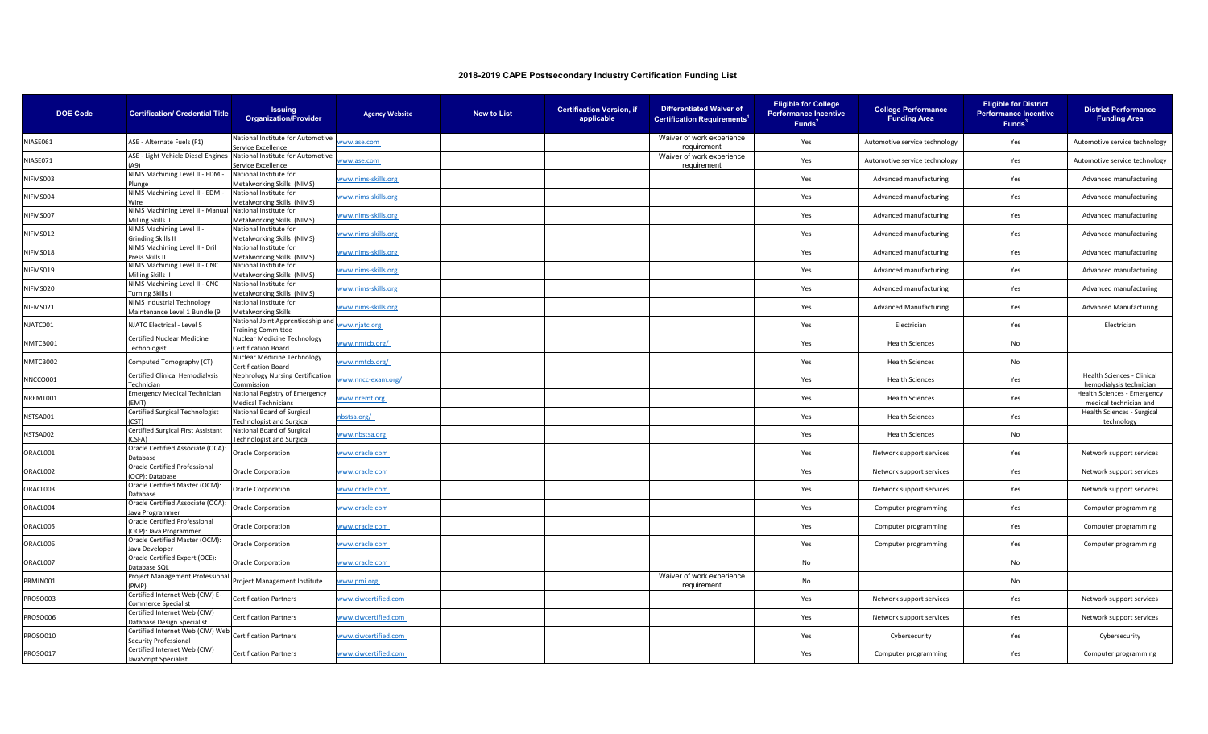| <b>DOE Code</b> | <b>Certification/ Credential Title</b>                      | <b>Issuing</b><br><b>Organization/Provider</b>                 | <b>Agency Website</b> | <b>New to List</b> | <b>Certification Version, if</b><br>applicable | <b>Differentiated Waiver of</b><br><b>Certification Requirements</b> | <b>Eligible for College</b><br><b>Performance Incentive</b><br>Funds <sup>2</sup> | <b>College Performance</b><br><b>Funding Area</b> | <b>Eligible for District</b><br><b>Performance Incentive</b><br>Funds <sup>3</sup> | <b>District Performance</b><br><b>Funding Area</b>    |
|-----------------|-------------------------------------------------------------|----------------------------------------------------------------|-----------------------|--------------------|------------------------------------------------|----------------------------------------------------------------------|-----------------------------------------------------------------------------------|---------------------------------------------------|------------------------------------------------------------------------------------|-------------------------------------------------------|
| NIASE061        | ASE - Alternate Fuels (F1)                                  | National Institute for Automotive<br>Service Excellence        | www.ase.com           |                    |                                                | Waiver of work experience<br>requirement                             | Yes                                                                               | Automotive service technology                     | Yes                                                                                | Automotive service technology                         |
| NIASE071        | ASE - Light Vehicle Diesel Engines<br>۵۹۱                   | National Institute for Automotive<br>Service Excellence        | www.ase.com           |                    |                                                | Waiver of work experience<br>requirement                             | Yes                                                                               | Automotive service technology                     | Yes                                                                                | Automotive service technology                         |
| NIFMS003        | NIMS Machining Level II - EDM -<br>Plunge                   | National Institute for<br>Metalworking Skills (NIMS)           | www.nims-skills.org   |                    |                                                |                                                                      | Yes                                                                               | Advanced manufacturing                            | Yes                                                                                | Advanced manufacturing                                |
| NIFMS004        | NIMS Machining Level II - EDM -<br>Wire                     | National Institute for<br>Metalworking Skills (NIMS)           | vww.nims-skills.org   |                    |                                                |                                                                      | Yes                                                                               | Advanced manufacturing                            | Yes                                                                                | Advanced manufacturing                                |
| NIFMS007        | NIMS Machining Level II - Manual<br>Milling Skills I        | National Institute for<br><b>Aetalworking Skills (NIMS)</b>    | www.nims-skills.org   |                    |                                                |                                                                      | Yes                                                                               | Advanced manufacturing                            | Yes                                                                                | Advanced manufacturing                                |
| NIFMS012        | NIMS Machining Level II -<br>Grinding Skills II             | National Institute for<br>Metalworking Skills (NIMS)           | www.nims-skills.org   |                    |                                                |                                                                      | Yes                                                                               | Advanced manufacturing                            | Yes                                                                                | Advanced manufacturing                                |
| NIFMS018        | NIMS Machining Level II - Drill<br>Press Skills II          | National Institute for<br>Metalworking Skills (NIMS)           | vww.nims-skills.org   |                    |                                                |                                                                      | Yes                                                                               | Advanced manufacturing                            | Yes                                                                                | Advanced manufacturing                                |
| NIFMS019        | NIMS Machining Level II - CNC<br>Milling Skills II          | National Institute for<br>Metalworking Skills (NIMS)           | www.nims-skills.org   |                    |                                                |                                                                      | Yes                                                                               | Advanced manufacturing                            | Yes                                                                                | Advanced manufacturing                                |
| NIFMS020        | NIMS Machining Level II - CNC<br><b>Turning Skills II</b>   | National Institute for<br>Metalworking Skills (NIMS)           | www.nims-skills.org   |                    |                                                |                                                                      | Yes                                                                               | Advanced manufacturing                            | Yes                                                                                | Advanced manufacturing                                |
| NIFMS021        | NIMS Industrial Technology<br>Maintenance Level 1 Bundle (9 | National Institute for<br>Metalworking Skills                  | www.nims-skills.org   |                    |                                                |                                                                      | Yes                                                                               | <b>Advanced Manufacturing</b>                     | Yes                                                                                | <b>Advanced Manufacturing</b>                         |
| NJATC001        | NJATC Electrical - Level 5                                  | National Joint Apprenticeship and<br>raining Committee         | www.njatc.org         |                    |                                                |                                                                      | Yes                                                                               | Electrician                                       | Yes                                                                                | Electrician                                           |
| NMTCB001        | Certified Nuclear Medicine<br>Technologist                  | Nuclear Medicine Technology<br>Certification Board             | www.nmtcb.org/        |                    |                                                |                                                                      | Yes                                                                               | <b>Health Sciences</b>                            | No                                                                                 |                                                       |
| NMTCB002        | Computed Tomography (CT)                                    | Nuclear Medicine Technology<br>ertification Board              | ww.nmtcb.org/         |                    |                                                |                                                                      | Yes                                                                               | <b>Health Sciences</b>                            | No                                                                                 |                                                       |
| NNCCO001        | Certified Clinical Hemodialysis<br>Technician               | Nephrology Nursing Certification<br>ommission                  | www.nncc-exam.org/    |                    |                                                |                                                                      | Yes                                                                               | <b>Health Sciences</b>                            | Yes                                                                                | Health Sciences - Clinical<br>hemodialysis technician |
| NREMT001        | <b>Emergency Medical Technician</b><br>(EMT)                | National Registry of Emergency<br><b>Medical Technicians</b>   | ww.nremt.org          |                    |                                                |                                                                      | Yes                                                                               | <b>Health Sciences</b>                            | Yes                                                                                | Health Sciences - Emergency<br>medical technician and |
| NSTSA001        | Certified Surgical Technologist<br>(CST)                    | National Board of Surgical<br><b>Technologist and Surgical</b> | bstsa.org/            |                    |                                                |                                                                      | Yes                                                                               | <b>Health Sciences</b>                            | Yes                                                                                | Health Sciences - Surgical<br>technology              |
| NSTSA002        | Certified Surgical First Assistant<br>(CSFA)                | National Board of Surgical<br>Fechnologist and Surgical        | www.nbstsa.org        |                    |                                                |                                                                      | Yes                                                                               | <b>Health Sciences</b>                            | No                                                                                 |                                                       |
| ORACL001        | Oracle Certified Associate (OCA):<br>Database               | Oracle Corporation                                             | www.oracle.com        |                    |                                                |                                                                      | Yes                                                                               | Network support services                          | Yes                                                                                | Network support services                              |
| ORACL002        | Oracle Certified Professional<br>(OCP): Database            | Oracle Corporation                                             | www.oracle.com        |                    |                                                |                                                                      | Yes                                                                               | Network support services                          | Yes                                                                                | Network support services                              |
| ORACL003        | Oracle Certified Master (OCM):<br>Database                  | <b>Oracle Corporation</b>                                      | www.oracle.com        |                    |                                                |                                                                      | Yes                                                                               | Network support services                          | Yes                                                                                | Network support services                              |
| ORACL004        | Oracle Certified Associate (OCA):<br>Java Programmer        | Oracle Corporation                                             | www.oracle.com        |                    |                                                |                                                                      | Yes                                                                               | Computer programming                              | Yes                                                                                | Computer programming                                  |
| ORACL005        | Oracle Certified Professional<br>(OCP): Java Programmer     | Oracle Corporation                                             | www.oracle.com        |                    |                                                |                                                                      | Yes                                                                               | Computer programming                              | Yes                                                                                | Computer programming                                  |
| ORACL006        | Oracle Certified Master (OCM):<br>lava Developer            | Oracle Corporation                                             | www.oracle.com        |                    |                                                |                                                                      | Yes                                                                               | Computer programming                              | Yes                                                                                | Computer programming                                  |
| ORACL007        | Oracle Certified Expert (OCE):<br>Database SQL              | <b>Oracle Corporation</b>                                      | www.oracle.com        |                    |                                                |                                                                      | No                                                                                |                                                   | No                                                                                 |                                                       |
| PRMIN001        | Project Management Professiona<br>PMP)                      | Project Management Institute                                   | vww.pmi.org           |                    |                                                | Waiver of work experience<br>requirement                             | No                                                                                |                                                   | No                                                                                 |                                                       |
| PROSO003        | Certified Internet Web (CIW) E-<br>Commerce Specialist      | Certification Partners                                         | www.ciwcertified.com  |                    |                                                |                                                                      | Yes                                                                               | Network support services                          | Yes                                                                                | Network support services                              |
| PROSO006        | Certified Internet Web (CIW)<br>Database Design Specialist  | Certification Partners                                         | www.ciwcertified.com  |                    |                                                |                                                                      | Yes                                                                               | Network support services                          | Yes                                                                                | Network support services                              |
| PROSO010        | Certified Internet Web (CIW) Web<br>ecurity Professional    | Certification Partners                                         | www.ciwcertified.com  |                    |                                                |                                                                      | Yes                                                                               | Cybersecurity                                     | Yes                                                                                | Cybersecurity                                         |
| PROSO017        | Certified Internet Web (CIW)<br>JavaScript Specialist       | <b>Certification Partners</b>                                  | www.ciwcertified.com  |                    |                                                |                                                                      | Yes                                                                               | Computer programming                              | Yes                                                                                | Computer programming                                  |